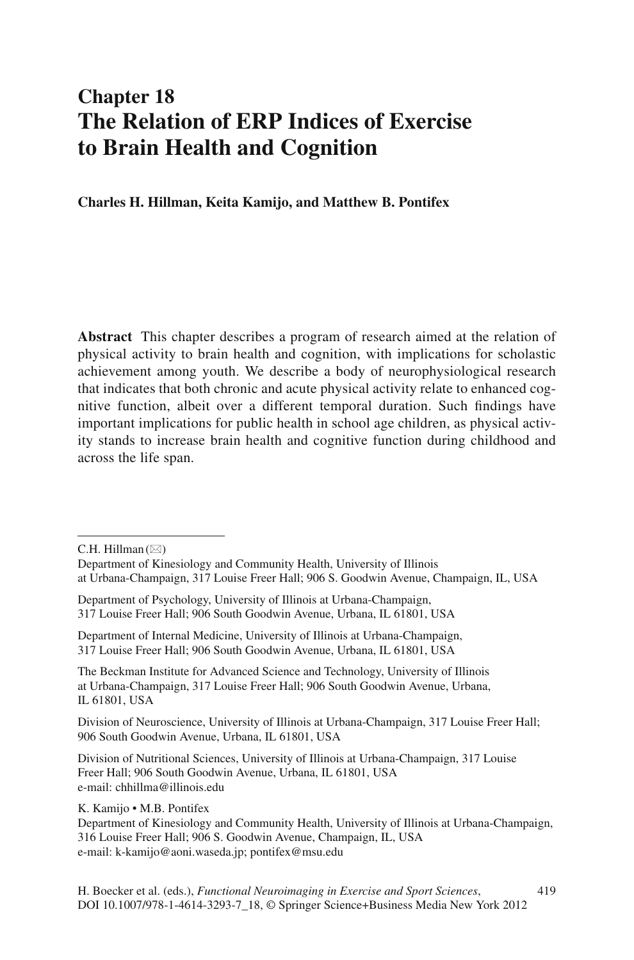# **Chapter 18 The Relation of ERP Indices of Exercise to Brain Health and Cognition**

 **Charles H. Hillman, Keita Kamijo, and Matthew B. Pontifex** 

 **Abstract** This chapter describes a program of research aimed at the relation of physical activity to brain health and cognition, with implications for scholastic achievement among youth. We describe a body of neurophysiological research that indicates that both chronic and acute physical activity relate to enhanced cognitive function, albeit over a different temporal duration. Such findings have important implications for public health in school age children, as physical activity stands to increase brain health and cognitive function during childhood and across the life span.

Department of Internal Medicine, University of Illinois at Urbana-Champaign, 317 Louise Freer Hall; 906 South Goodwin Avenue , Urbana , IL 61801 , USA

The Beckman Institute for Advanced Science and Technology, University of Illinois at Urbana-Champaign, 317 Louise Freer Hall; 906 South Goodwin Avenue, Urbana, IL 61801, USA

Division of Neuroscience, University of Illinois at Urbana-Champaign, 317 Louise Freer Hall; 906 South Goodwin Avenue, Urbana, IL 61801, USA

 Division of Nutritional Sciences , University of Illinois at Urbana-Champaign , 317 Louise Freer Hall; 906 South Goodwin Avenue, Urbana, IL 61801, USA e-mail: chhillma@illinois.edu

K. Kamijo • M.B. Pontifex

 $C.H.$  Hillman  $(\boxtimes)$ 

Department of Kinesiology and Community Health, University of Illinois at Urbana-Champaign , 317 Louise Freer Hall; 906 S. Goodwin Avenue , Champaign , IL , USA

Department of Psychology, University of Illinois at Urbana-Champaign, 317 Louise Freer Hall; 906 South Goodwin Avenue , Urbana , IL 61801 , USA

Department of Kinesiology and Community Health, University of Illinois at Urbana-Champaign, 316 Louise Freer Hall; 906 S. Goodwin Avenue, Champaign, IL, USA e-mail: k-kamijo@aoni.waseda.jp; pontifex@msu.edu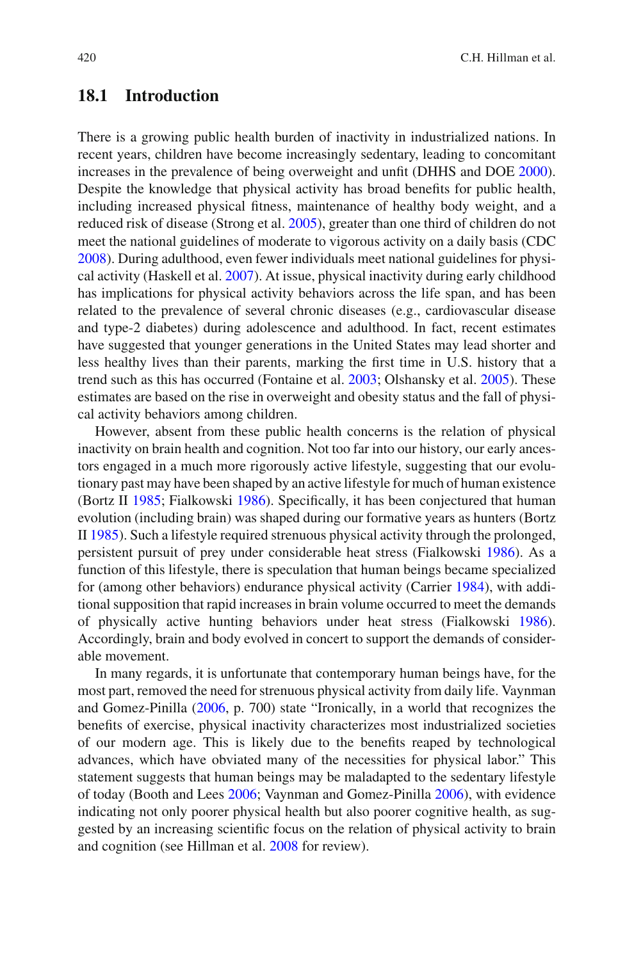## **18.1 Introduction**

 There is a growing public health burden of inactivity in industrialized nations. In recent years, children have become increasingly sedentary, leading to concomitant increases in the prevalence of being overweight and unfit (DHHS and DOE 2000). Despite the knowledge that physical activity has broad benefits for public health, including increased physical fitness, maintenance of healthy body weight, and a reduced risk of disease (Strong et al. 2005), greater than one third of children do not meet the national guidelines of moderate to vigorous activity on a daily basis (CDC [2008 \)](#page-23-0) . During adulthood, even fewer individuals meet national guidelines for physi-cal activity (Haskell et al. [2007](#page-24-0)). At issue, physical inactivity during early childhood has implications for physical activity behaviors across the life span, and has been related to the prevalence of several chronic diseases (e.g., cardiovascular disease and type-2 diabetes) during adolescence and adulthood. In fact, recent estimates have suggested that younger generations in the United States may lead shorter and less healthy lives than their parents, marking the first time in U.S. history that a trend such as this has occurred (Fontaine et al. [2003](#page-23-0); Olshansky et al. [2005](#page-25-0)). These estimates are based on the rise in overweight and obesity status and the fall of physical activity behaviors among children.

 However, absent from these public health concerns is the relation of physical inactivity on brain health and cognition. Not too far into our history, our early ancestors engaged in a much more rigorously active lifestyle, suggesting that our evolutionary past may have been shaped by an active lifestyle for much of human existence (Bortz II 1985; Fialkowski [1986](#page-23-0)). Specifically, it has been conjectured that human evolution (including brain) was shaped during our formative years as hunters (Bortz II [1985](#page-22-0)). Such a lifestyle required strenuous physical activity through the prolonged, persistent pursuit of prey under considerable heat stress (Fialkowski [1986](#page-23-0) ) . As a function of this lifestyle, there is speculation that human beings became specialized for (among other behaviors) endurance physical activity (Carrier 1984), with additional supposition that rapid increases in brain volume occurred to meet the demands of physically active hunting behaviors under heat stress (Fialkowski 1986). Accordingly, brain and body evolved in concert to support the demands of considerable movement.

 In many regards, it is unfortunate that contemporary human beings have, for the most part, removed the need for strenuous physical activity from daily life. Vaynman and Gomez-Pinilla (2006, p. 700) state "Ironically, in a world that recognizes the benefits of exercise, physical inactivity characterizes most industrialized societies of our modern age. This is likely due to the benefits reaped by technological advances, which have obviated many of the necessities for physical labor." This statement suggests that human beings may be maladapted to the sedentary lifestyle of today (Booth and Lees [2006](#page-22-0); Vaynman and Gomez-Pinilla 2006), with evidence indicating not only poorer physical health but also poorer cognitive health, as suggested by an increasing scientific focus on the relation of physical activity to brain and cognition (see Hillman et al. [2008](#page-24-0) for review).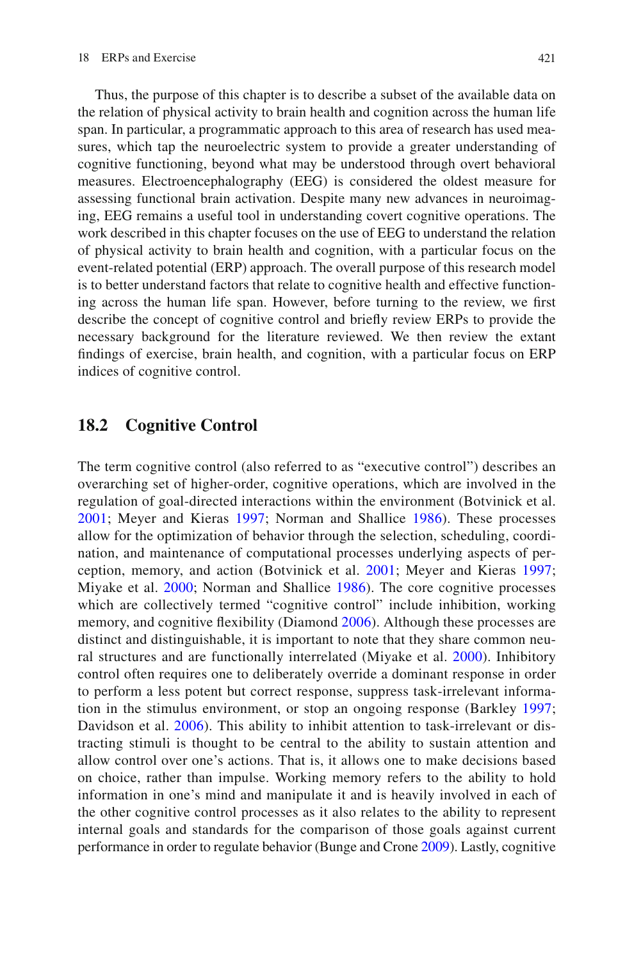Thus, the purpose of this chapter is to describe a subset of the available data on the relation of physical activity to brain health and cognition across the human life span. In particular, a programmatic approach to this area of research has used measures, which tap the neuroelectric system to provide a greater understanding of cognitive functioning, beyond what may be understood through overt behavioral measures. Electroencephalography (EEG) is considered the oldest measure for assessing functional brain activation. Despite many new advances in neuroimaging, EEG remains a useful tool in understanding covert cognitive operations. The work described in this chapter focuses on the use of EEG to understand the relation of physical activity to brain health and cognition, with a particular focus on the event-related potential (ERP) approach. The overall purpose of this research model is to better understand factors that relate to cognitive health and effective functioning across the human life span. However, before turning to the review, we first describe the concept of cognitive control and briefly review ERPs to provide the necessary background for the literature reviewed. We then review the extant findings of exercise, brain health, and cognition, with a particular focus on ERP indices of cognitive control.

## **18.2 Cognitive Control**

 The term cognitive control (also referred to as "executive control") describes an overarching set of higher-order, cognitive operations, which are involved in the regulation of goal-directed interactions within the environment (Botvinick et al. [2001](#page-22-0); Meyer and Kieras 1997; Norman and Shallice 1986). These processes allow for the optimization of behavior through the selection, scheduling, coordination, and maintenance of computational processes underlying aspects of per-ception, memory, and action (Botvinick et al. [2001](#page-22-0); Meyer and Kieras 1997; Miyake et al. [2000](#page-25-0); Norman and Shallice 1986). The core cognitive processes which are collectively termed "cognitive control" include inhibition, working memory, and cognitive flexibility (Diamond 2006). Although these processes are distinct and distinguishable, it is important to note that they share common neural structures and are functionally interrelated (Miyake et al. 2000). Inhibitory control often requires one to deliberately override a dominant response in order to perform a less potent but correct response, suppress task-irrelevant information in the stimulus environment, or stop an ongoing response (Barkley 1997; Davidson et al. [2006](#page-23-0)). This ability to inhibit attention to task-irrelevant or distracting stimuli is thought to be central to the ability to sustain attention and allow control over one's actions. That is, it allows one to make decisions based on choice, rather than impulse. Working memory refers to the ability to hold information in one's mind and manipulate it and is heavily involved in each of the other cognitive control processes as it also relates to the ability to represent internal goals and standards for the comparison of those goals against current performance in order to regulate behavior (Bunge and Crone [2009 \)](#page-22-0) . Lastly, cognitive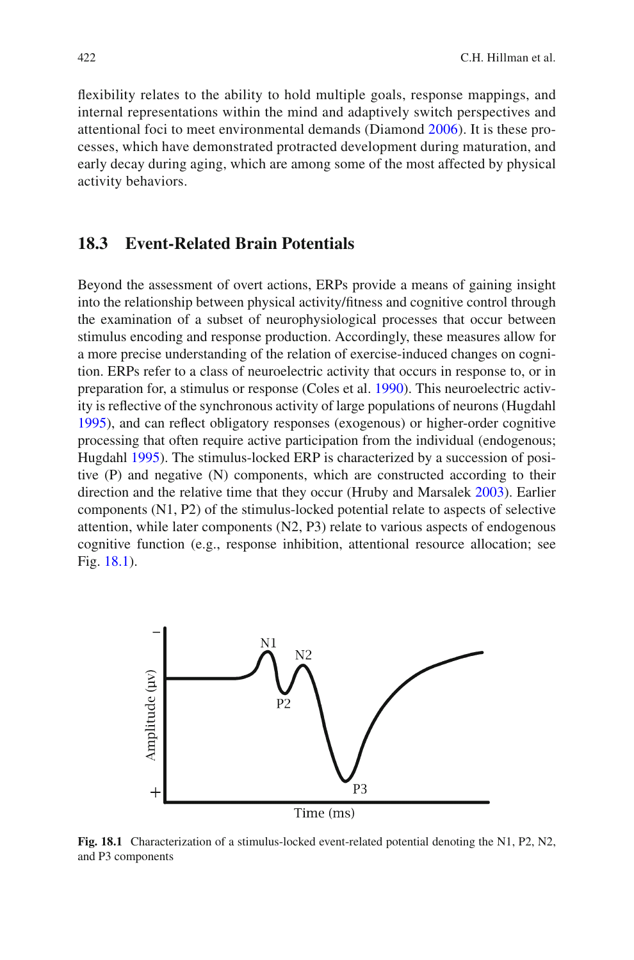flexibility relates to the ability to hold multiple goals, response mappings, and internal representations within the mind and adaptively switch perspectives and attentional foci to meet environmental demands (Diamond [2006 \)](#page-23-0) . It is these processes, which have demonstrated protracted development during maturation, and early decay during aging, which are among some of the most affected by physical activity behaviors.

## **18.3 Event - Related Brain Potentials**

 Beyond the assessment of overt actions, ERPs provide a means of gaining insight into the relationship between physical activity/fitness and cognitive control through the examination of a subset of neurophysiological processes that occur between stimulus encoding and response production. Accordingly, these measures allow for a more precise understanding of the relation of exercise-induced changes on cognition. ERPs refer to a class of neuroelectric activity that occurs in response to, or in preparation for, a stimulus or response (Coles et al. [1990 \)](#page-23-0) . This neuroelectric activity is reflective of the synchronous activity of large populations of neurons (Hugdahl 1995), and can reflect obligatory responses (exogenous) or higher-order cognitive processing that often require active participation from the individual (endogenous; Hugdahl 1995). The stimulus-locked ERP is characterized by a succession of positive (P) and negative (N) components, which are constructed according to their direction and the relative time that they occur (Hruby and Marsalek 2003). Earlier components (N1, P2) of the stimulus-locked potential relate to aspects of selective attention, while later components (N2, P3) relate to various aspects of endogenous cognitive function (e.g., response inhibition, attentional resource allocation; see Fig. 18.1).



 **Fig. 18.1** Characterization of a stimulus-locked event-related potential denoting the N1, P2, N2, and P3 components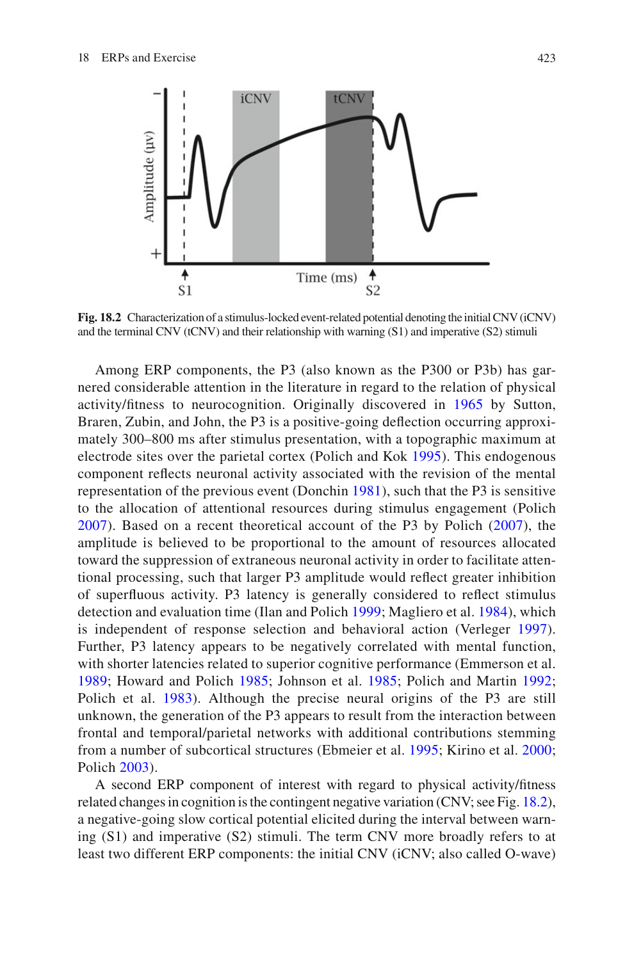

 **Fig. 18.2** Characterization of a stimulus-locked event-related potential denoting the initial CNV (iCNV) and the terminal CNV (tCNV) and their relationship with warning (S1) and imperative (S2) stimuli

 Among ERP components, the P3 (also known as the P300 or P3b) has garnered considerable attention in the literature in regard to the relation of physical activity/fitness to neurocognition. Originally discovered in [1965](#page-26-0) by Sutton, Braren, Zubin, and John, the P3 is a positive-going deflection occurring approximately 300–800 ms after stimulus presentation, with a topographic maximum at electrode sites over the parietal cortex (Polich and Kok [1995](#page-26-0)). This endogenous component reflects neuronal activity associated with the revision of the mental representation of the previous event (Donchin 1981), such that the P3 is sensitive to the allocation of attentional resources during stimulus engagement (Polich  $2007$ ). Based on a recent theoretical account of the P3 by Polich  $(2007)$ , the amplitude is believed to be proportional to the amount of resources allocated toward the suppression of extraneous neuronal activity in order to facilitate attentional processing, such that larger P3 amplitude would reflect greater inhibition of superfluous activity. P3 latency is generally considered to reflect stimulus detection and evaluation time (Ilan and Polich [1999](#page-24-0); Magliero et al. [1984](#page-25-0)), which is independent of response selection and behavioral action (Verleger 1997). Further, P3 latency appears to be negatively correlated with mental function, with shorter latencies related to superior cognitive performance (Emmerson et al. [1989](#page-23-0); Howard and Polich [1985](#page-24-0); Johnson et al. 1985; Polich and Martin 1992; Polich et al. 1983). Although the precise neural origins of the P3 are still unknown, the generation of the P3 appears to result from the interaction between frontal and temporal/parietal networks with additional contributions stemming from a number of subcortical structures (Ebmeier et al. [1995](#page-23-0); Kirino et al. 2000; Polich 2003).

A second ERP component of interest with regard to physical activity/fitness related changes in cognition is the contingent negative variation (CNV; see Fig. 18.2 ), a negative-going slow cortical potential elicited during the interval between warning (S1) and imperative (S2) stimuli. The term CNV more broadly refers to at least two different ERP components: the initial CNV (iCNV; also called O-wave)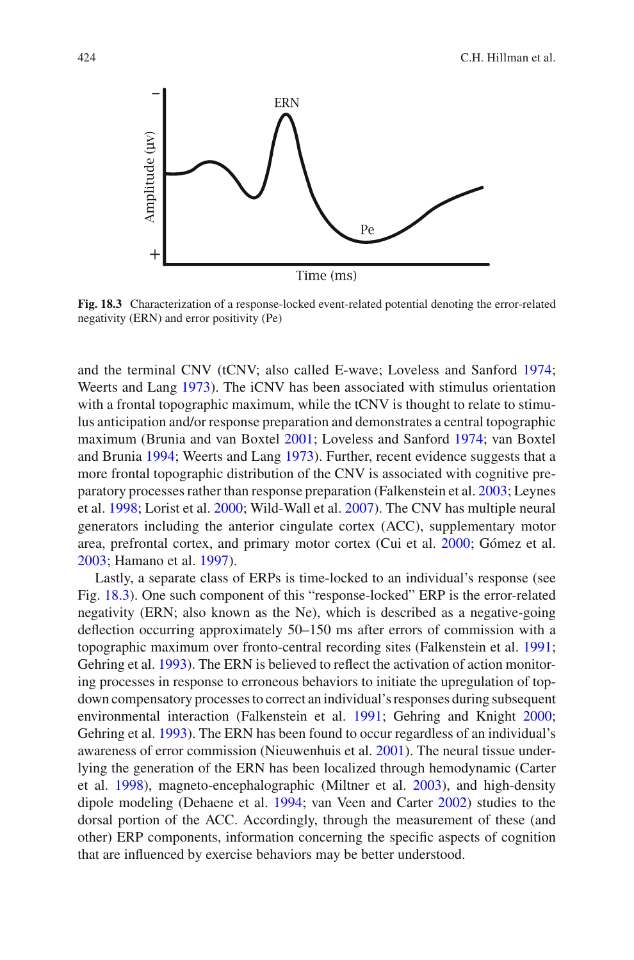

 **Fig. 18.3** Characterization of a response-locked event-related potential denoting the error-related negativity (ERN) and error positivity (Pe)

and the terminal CNV (tCNV; also called E-wave; Loveless and Sanford 1974; Weerts and Lang [1973](#page-27-0)). The iCNV has been associated with stimulus orientation with a frontal topographic maximum, while the tCNV is thought to relate to stimulus anticipation and/or response preparation and demonstrates a central topographic maximum (Brunia and van Boxtel [2001](#page-22-0); Loveless and Sanford [1974](#page-25-0); van Boxtel and Brunia [1994](#page-27-0); Weerts and Lang 1973). Further, recent evidence suggests that a more frontal topographic distribution of the CNV is associated with cognitive preparatory processes rather than response preparation (Falkenstein et al. [2003 ;](#page-23-0) Leynes et al. 1998; Lorist et al. 2000; Wild-Wall et al. [2007](#page-27-0)). The CNV has multiple neural generators including the anterior cingulate cortex (ACC), supplementary motor area, prefrontal cortex, and primary motor cortex (Cui et al. [2000](#page-23-0); Gómez et al. [2003](#page-24-0): Hamano et al. 1997).

 Lastly, a separate class of ERPs is time-locked to an individual's response (see Fig. 18.3 ). One such component of this "response-locked" ERP is the error-related negativity (ERN; also known as the Ne), which is described as a negative-going deflection occurring approximately  $50-150$  ms after errors of commission with a topographic maximum over fronto-central recording sites (Falkenstein et al. 1991; Gehring et al. 1993). The ERN is believed to reflect the activation of action monitoring processes in response to erroneous behaviors to initiate the upregulation of topdown compensatory processes to correct an individual's responses during subsequent environmental interaction (Falkenstein et al. [1991](#page-23-0); Gehring and Knight 2000; Gehring et al. 1993). The ERN has been found to occur regardless of an individual's awareness of error commission (Nieuwenhuis et al. 2001). The neural tissue underlying the generation of the ERN has been localized through hemodynamic (Carter et al. 1998), magneto-encephalographic (Miltner et al. [2003](#page-25-0)), and high-density dipole modeling (Dehaene et al. 1994; van Veen and Carter 2002) studies to the dorsal portion of the ACC. Accordingly, through the measurement of these (and other) ERP components, information concerning the specific aspects of cognition that are influenced by exercise behaviors may be better understood.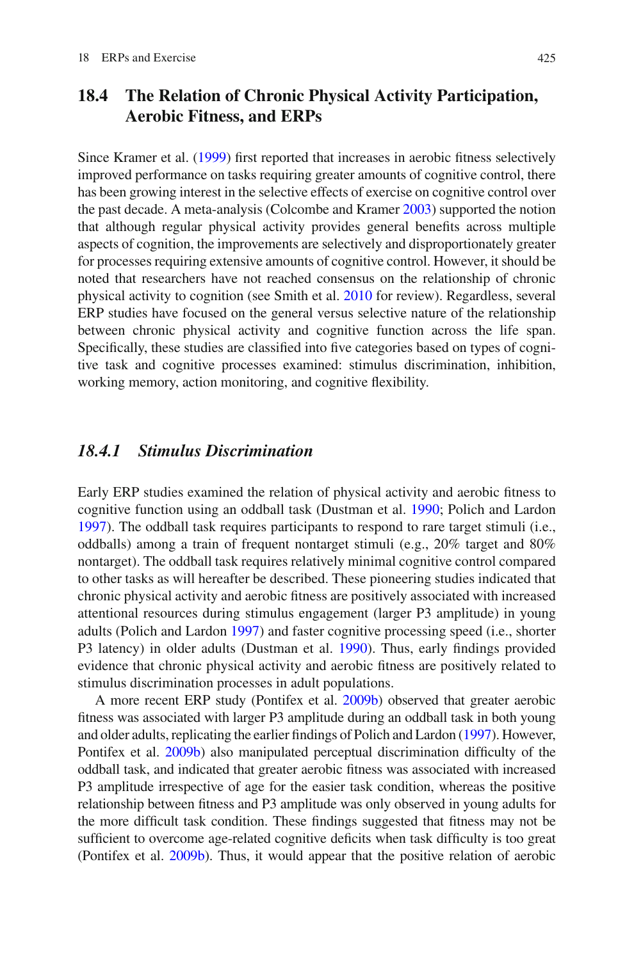# **18.4 The Relation of Chronic Physical Activity Participation, Aerobic Fitness, and ERPs**

Since Kramer et al. (1999) first reported that increases in aerobic fitness selectively improved performance on tasks requiring greater amounts of cognitive control, there has been growing interest in the selective effects of exercise on cognitive control over the past decade. A meta-analysis (Colcombe and Kramer [2003](#page-23-0)) supported the notion that although regular physical activity provides general benefits across multiple aspects of cognition, the improvements are selectively and disproportionately greater for processes requiring extensive amounts of cognitive control. However, it should be noted that researchers have not reached consensus on the relationship of chronic physical activity to cognition (see Smith et al. [2010](#page-26-0) for review). Regardless, several ERP studies have focused on the general versus selective nature of the relationship between chronic physical activity and cognitive function across the life span. Specifically, these studies are classified into five categories based on types of cognitive task and cognitive processes examined: stimulus discrimination, inhibition, working memory, action monitoring, and cognitive flexibility.

## *18.4.1 Stimulus Discrimination*

Early ERP studies examined the relation of physical activity and aerobic fitness to cognitive function using an oddball task (Dustman et al. [1990 ;](#page-23-0) Polich and Lardon 1997). The oddball task requires participants to respond to rare target stimuli (i.e., oddballs) among a train of frequent nontarget stimuli (e.g., 20% target and 80% nontarget). The oddball task requires relatively minimal cognitive control compared to other tasks as will hereafter be described. These pioneering studies indicated that chronic physical activity and aerobic fitness are positively associated with increased attentional resources during stimulus engagement (larger P3 amplitude) in young adults (Polich and Lardon 1997) and faster cognitive processing speed (i.e., shorter P3 latency) in older adults (Dustman et al. 1990). Thus, early findings provided evidence that chronic physical activity and aerobic fitness are positively related to stimulus discrimination processes in adult populations.

A more recent ERP study (Pontifex et al. [2009b](#page-26-0)) observed that greater aerobic fitness was associated with larger P3 amplitude during an oddball task in both young and older adults, replicating the earlier findings of Polich and Lardon (1997). However, Pontifex et al. [2009b](#page-26-0)) also manipulated perceptual discrimination difficulty of the oddball task, and indicated that greater aerobic fitness was associated with increased P3 amplitude irrespective of age for the easier task condition, whereas the positive relationship between fitness and P3 amplitude was only observed in young adults for the more difficult task condition. These findings suggested that fitness may not be sufficient to overcome age-related cognitive deficits when task difficulty is too great (Pontifex et al.  $2009b$ ). Thus, it would appear that the positive relation of aerobic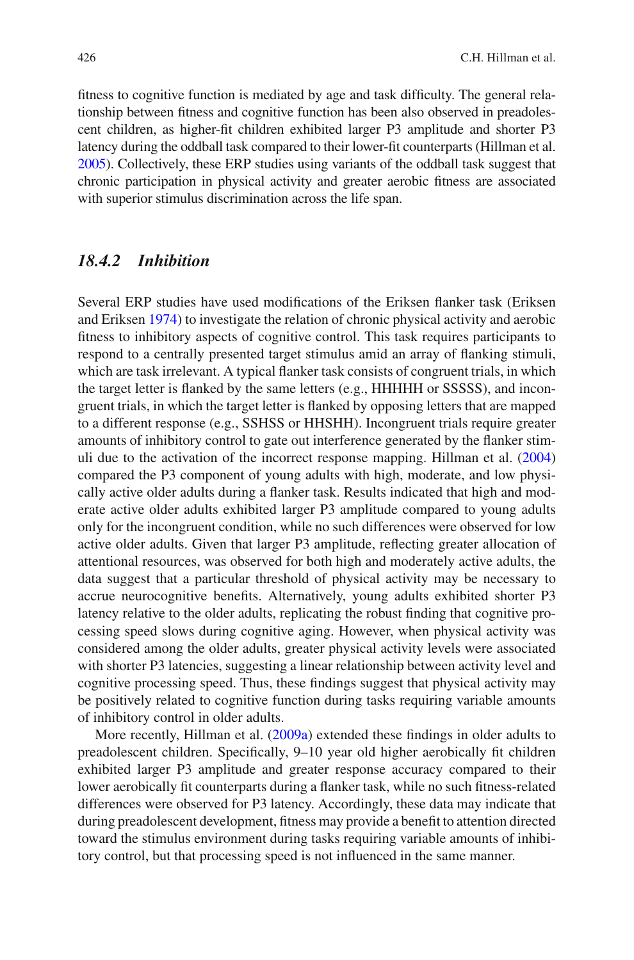fitness to cognitive function is mediated by age and task difficulty. The general relationship between fitness and cognitive function has been also observed in preadolescent children, as higher- fi t children exhibited larger P3 amplitude and shorter P3 latency during the oddball task compared to their lower- fi t counterparts (Hillman et al. [2005](#page-24-0) ) . Collectively, these ERP studies using variants of the oddball task suggest that chronic participation in physical activity and greater aerobic fitness are associated with superior stimulus discrimination across the life span.

## *18.4.2 Inhibition*

Several ERP studies have used modifications of the Eriksen flanker task (Eriksen and Eriksen [1974 \)](#page-23-0) to investigate the relation of chronic physical activity and aerobic fitness to inhibitory aspects of cognitive control. This task requires participants to respond to a centrally presented target stimulus amid an array of flanking stimuli, which are task irrelevant. A typical flanker task consists of congruent trials, in which the target letter is flanked by the same letters (e.g.,  $HHHHH$  or SSSSS), and incongruent trials, in which the target letter is flanked by opposing letters that are mapped to a different response (e.g., SSHSS or HHSHH). Incongruent trials require greater amounts of inhibitory control to gate out interference generated by the flanker stimuli due to the activation of the incorrect response mapping. Hillman et al. (2004) compared the P3 component of young adults with high, moderate, and low physically active older adults during a flanker task. Results indicated that high and moderate active older adults exhibited larger P3 amplitude compared to young adults only for the incongruent condition, while no such differences were observed for low active older adults. Given that larger P3 amplitude, reflecting greater allocation of attentional resources, was observed for both high and moderately active adults, the data suggest that a particular threshold of physical activity may be necessary to accrue neurocognitive benefits. Alternatively, young adults exhibited shorter P3 latency relative to the older adults, replicating the robust finding that cognitive processing speed slows during cognitive aging. However, when physical activity was considered among the older adults, greater physical activity levels were associated with shorter P3 latencies, suggesting a linear relationship between activity level and cognitive processing speed. Thus, these findings suggest that physical activity may be positively related to cognitive function during tasks requiring variable amounts of inhibitory control in older adults.

More recently, Hillman et al. (2009a) extended these findings in older adults to preadolescent children. Specifically, 9–10 year old higher aerobically fit children exhibited larger P3 amplitude and greater response accuracy compared to their lower aerobically fit counterparts during a flanker task, while no such fitness-related differences were observed for P3 latency. Accordingly, these data may indicate that during preadolescent development, fitness may provide a benefit to attention directed toward the stimulus environment during tasks requiring variable amounts of inhibitory control, but that processing speed is not influenced in the same manner.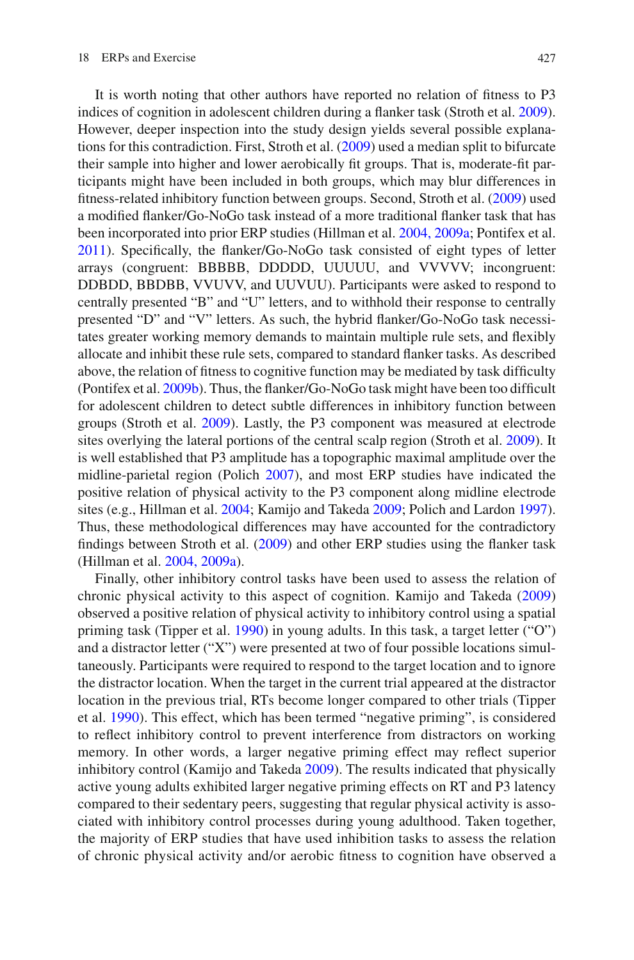It is worth noting that other authors have reported no relation of fitness to P3 indices of cognition in adolescent children during a flanker task (Stroth et al. 2009). However, deeper inspection into the study design yields several possible explanations for this contradiction. First, Stroth et al. ( [2009 \)](#page-26-0) used a median split to bifurcate their sample into higher and lower aerobically fit groups. That is, moderate-fit participants might have been included in both groups, which may blur differences in fitness-related inhibitory function between groups. Second, Stroth et al. (2009) used a modified flanker/Go-NoGo task instead of a more traditional flanker task that has been incorporated into prior ERP studies (Hillman et al. 2004, 2009a; Pontifex et al.  $2011$ ). Specifically, the flanker/Go-NoGo task consisted of eight types of letter arrays (congruent: BBBBB, DDDDD, UUUUU, and VVVVV; incongruent: DDBDD, BBDBB, VVUVV, and UUVUU). Participants were asked to respond to centrally presented "B" and "U" letters, and to withhold their response to centrally presented "D" and "V" letters. As such, the hybrid flanker/Go-NoGo task necessitates greater working memory demands to maintain multiple rule sets, and flexibly allocate and inhibit these rule sets, compared to standard flanker tasks. As described above, the relation of fitness to cognitive function may be mediated by task difficulty (Pontifex et al.  $2009b$ ). Thus, the flanker/Go-NoGo task might have been too difficult for adolescent children to detect subtle differences in inhibitory function between groups (Stroth et al. 2009). Lastly, the P3 component was measured at electrode sites overlying the lateral portions of the central scalp region (Stroth et al. [2009](#page-26-0)). It is well established that P3 amplitude has a topographic maximal amplitude over the midline-parietal region (Polich [2007](#page-26-0)), and most ERP studies have indicated the positive relation of physical activity to the P3 component along midline electrode sites (e.g., Hillman et al.  $2004$ ; Kamijo and Takeda  $2009$ ; Polich and Lardon 1997). Thus, these methodological differences may have accounted for the contradictory findings between Stroth et al.  $(2009)$  and other ERP studies using the flanker task (Hillman et al. 2004, 2009a).

 Finally, other inhibitory control tasks have been used to assess the relation of chronic physical activity to this aspect of cognition. Kamijo and Takeda (2009) observed a positive relation of physical activity to inhibitory control using a spatial priming task (Tipper et al. 1990) in young adults. In this task, a target letter ("O") and a distractor letter ("X") were presented at two of four possible locations simultaneously. Participants were required to respond to the target location and to ignore the distractor location. When the target in the current trial appeared at the distractor location in the previous trial, RTs become longer compared to other trials (Tipper et al. 1990). This effect, which has been termed "negative priming", is considered to reflect inhibitory control to prevent interference from distractors on working memory. In other words, a larger negative priming effect may reflect superior inhibitory control (Kamijo and Takeda 2009). The results indicated that physically active young adults exhibited larger negative priming effects on RT and P3 latency compared to their sedentary peers, suggesting that regular physical activity is associated with inhibitory control processes during young adulthood. Taken together, the majority of ERP studies that have used inhibition tasks to assess the relation of chronic physical activity and/or aerobic fitness to cognition have observed a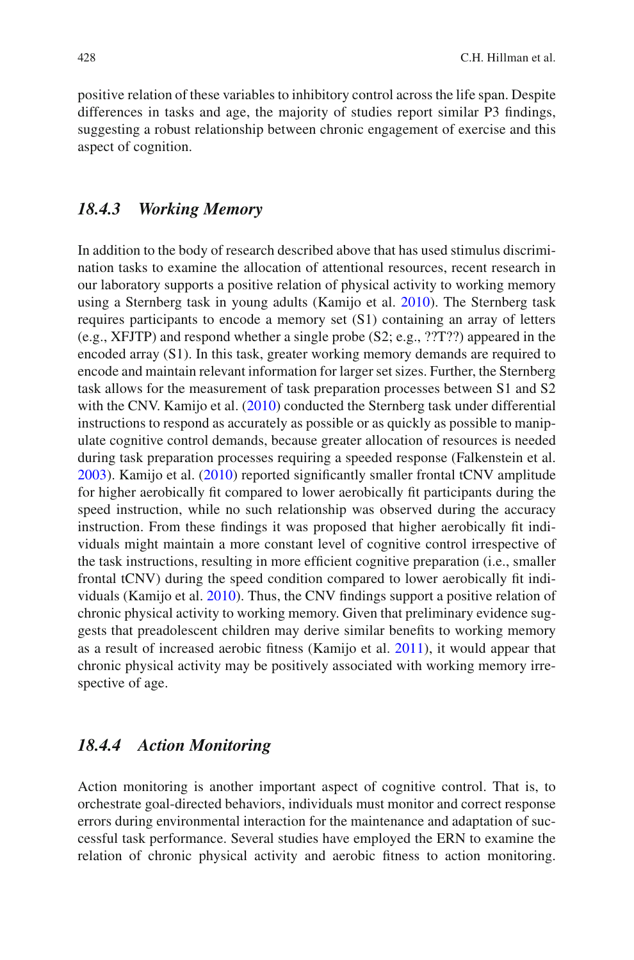positive relation of these variables to inhibitory control across the life span. Despite differences in tasks and age, the majority of studies report similar P3 findings, suggesting a robust relationship between chronic engagement of exercise and this aspect of cognition.

## *18.4.3 Working Memory*

 In addition to the body of research described above that has used stimulus discrimination tasks to examine the allocation of attentional resources, recent research in our laboratory supports a positive relation of physical activity to working memory using a Sternberg task in young adults (Kamijo et al. [2010](#page-24-0)). The Sternberg task requires participants to encode a memory set (S1) containing an array of letters (e.g., XFJTP) and respond whether a single probe (S2; e.g., ??T??) appeared in the encoded array (S1). In this task, greater working memory demands are required to encode and maintain relevant information for larger set sizes. Further, the Sternberg task allows for the measurement of task preparation processes between S1 and S2 with the CNV. Kamijo et al.  $(2010)$  conducted the Sternberg task under differential instructions to respond as accurately as possible or as quickly as possible to manipulate cognitive control demands, because greater allocation of resources is needed during task preparation processes requiring a speeded response (Falkenstein et al.  $2003$ ). Kamijo et al.  $(2010)$  reported significantly smaller frontal tCNV amplitude for higher aerobically fit compared to lower aerobically fit participants during the speed instruction, while no such relationship was observed during the accuracy instruction. From these findings it was proposed that higher aerobically fit individuals might maintain a more constant level of cognitive control irrespective of the task instructions, resulting in more efficient cognitive preparation (i.e., smaller frontal tCNV) during the speed condition compared to lower aerobically fit individuals (Kamijo et al.  $2010$ ). Thus, the CNV findings support a positive relation of chronic physical activity to working memory. Given that preliminary evidence suggests that preadolescent children may derive similar benefits to working memory as a result of increased aerobic fitness (Kamijo et al.  $2011$ ), it would appear that chronic physical activity may be positively associated with working memory irrespective of age.

#### *18.4.4 Action Monitoring*

 Action monitoring is another important aspect of cognitive control. That is, to orchestrate goal-directed behaviors, individuals must monitor and correct response errors during environmental interaction for the maintenance and adaptation of successful task performance. Several studies have employed the ERN to examine the relation of chronic physical activity and aerobic fitness to action monitoring.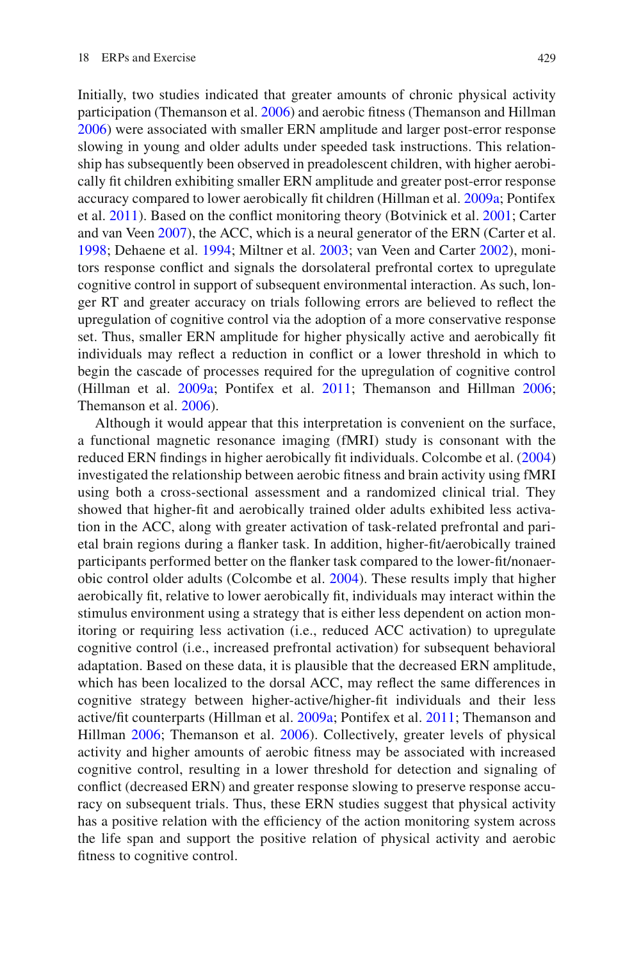Initially, two studies indicated that greater amounts of chronic physical activity participation (Themanson et al. [2006](#page-26-0)) and aerobic fitness (Themanson and Hillman [2006](#page-26-0) ) were associated with smaller ERN amplitude and larger post-error response slowing in young and older adults under speeded task instructions. This relationship has subsequently been observed in preadolescent children, with higher aerobically fit children exhibiting smaller ERN amplitude and greater post-error response accuracy compared to lower aerobically fit children (Hillman et al. [2009a](#page-24-0); Pontifex et al.  $2011$ ). Based on the conflict monitoring theory (Botvinick et al.  $2001$ ; Carter and van Veen 2007), the ACC, which is a neural generator of the ERN (Carter et al. [1998](#page-22-0); Dehaene et al. [1994](#page-23-0); Miltner et al. 2003; van Veen and Carter 2002), monitors response conflict and signals the dorsolateral prefrontal cortex to upregulate cognitive control in support of subsequent environmental interaction. As such, longer RT and greater accuracy on trials following errors are believed to reflect the upregulation of cognitive control via the adoption of a more conservative response set. Thus, smaller ERN amplitude for higher physically active and aerobically fit individuals may reflect a reduction in conflict or a lower threshold in which to begin the cascade of processes required for the upregulation of cognitive control (Hillman et al.  $2009a$ ; Pontifex et al.  $2011$ ; Themanson and Hillman  $2006$ ; Themanson et al. [2006](#page-26-0)).

 Although it would appear that this interpretation is convenient on the surface, a functional magnetic resonance imaging (fMRI) study is consonant with the reduced ERN findings in higher aerobically fit individuals. Colcombe et al. (2004) investigated the relationship between aerobic fitness and brain activity using fMRI using both a cross-sectional assessment and a randomized clinical trial. They showed that higher-fit and aerobically trained older adults exhibited less activation in the ACC, along with greater activation of task-related prefrontal and parietal brain regions during a flanker task. In addition, higher-fit/aerobically trained participants performed better on the flanker task compared to the lower-fit/nonaerobic control older adults (Colcombe et al.  $2004$ ). These results imply that higher aerobically fit, relative to lower aerobically fit, individuals may interact within the stimulus environment using a strategy that is either less dependent on action monitoring or requiring less activation (i.e., reduced ACC activation) to upregulate cognitive control (i.e., increased prefrontal activation) for subsequent behavioral adaptation. Based on these data, it is plausible that the decreased ERN amplitude, which has been localized to the dorsal ACC, may reflect the same differences in cognitive strategy between higher-active/higher-fit individuals and their less active/fit counterparts (Hillman et al. [2009a](#page-24-0); Pontifex et al. 2011; Themanson and Hillman [2006](#page-26-0); Themanson et al. 2006). Collectively, greater levels of physical activity and higher amounts of aerobic fitness may be associated with increased cognitive control, resulting in a lower threshold for detection and signaling of conflict (decreased ERN) and greater response slowing to preserve response accuracy on subsequent trials. Thus, these ERN studies suggest that physical activity has a positive relation with the efficiency of the action monitoring system across the life span and support the positive relation of physical activity and aerobic fitness to cognitive control.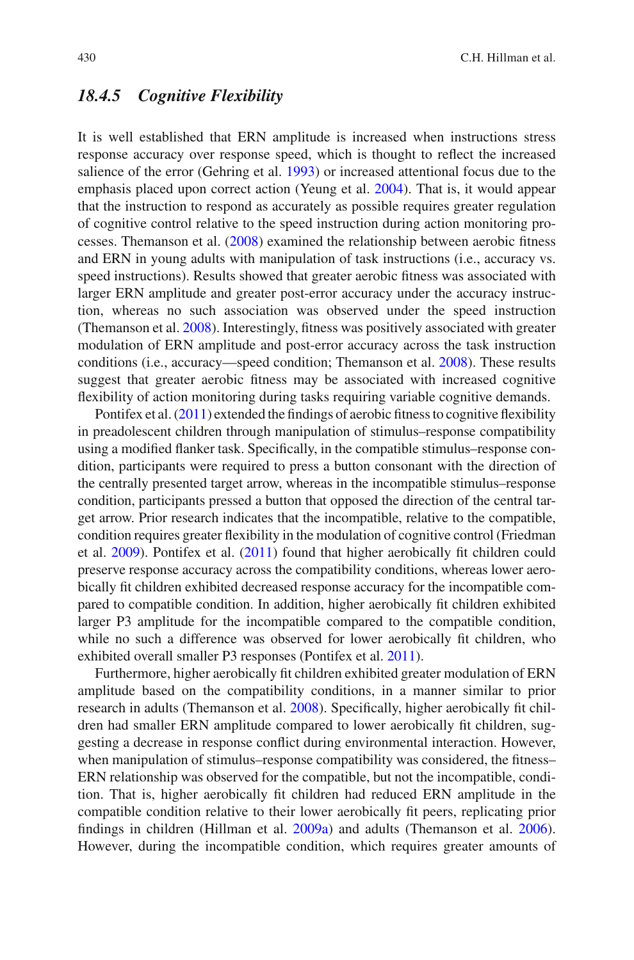### *18.4.5 Cognitive Flexibility*

 It is well established that ERN amplitude is increased when instructions stress response accuracy over response speed, which is thought to reflect the increased salience of the error (Gehring et al. [1993](#page-24-0) ) or increased attentional focus due to the emphasis placed upon correct action (Yeung et al. 2004). That is, it would appear that the instruction to respond as accurately as possible requires greater regulation of cognitive control relative to the speed instruction during action monitoring processes. Themanson et al.  $(2008)$  examined the relationship between aerobic fitness and ERN in young adults with manipulation of task instructions (i.e., accuracy vs. speed instructions). Results showed that greater aerobic fitness was associated with larger ERN amplitude and greater post-error accuracy under the accuracy instruction, whereas no such association was observed under the speed instruction (Themanson et al. 2008). Interestingly, fitness was positively associated with greater modulation of ERN amplitude and post-error accuracy across the task instruction conditions (i.e., accuracy—speed condition; Themanson et al. [2008](#page-26-0)). These results suggest that greater aerobic fitness may be associated with increased cognitive flexibility of action monitoring during tasks requiring variable cognitive demands.

Pontifex et al.  $(2011)$  extended the findings of aerobic fitness to cognitive flexibility in preadolescent children through manipulation of stimulus–response compatibility using a modified flanker task. Specifically, in the compatible stimulus–response condition, participants were required to press a button consonant with the direction of the centrally presented target arrow, whereas in the incompatible stimulus–response condition, participants pressed a button that opposed the direction of the central target arrow. Prior research indicates that the incompatible, relative to the compatible, condition requires greater flexibility in the modulation of cognitive control (Friedman et al.  $2009$ ). Pontifex et al.  $(2011)$  found that higher aerobically fit children could preserve response accuracy across the compatibility conditions, whereas lower aerobically fi t children exhibited decreased response accuracy for the incompatible compared to compatible condition. In addition, higher aerobically fi t children exhibited larger P3 amplitude for the incompatible compared to the compatible condition, while no such a difference was observed for lower aerobically fit children, who exhibited overall smaller P3 responses (Pontifex et al. [2011](#page-26-0)).

Furthermore, higher aerobically fit children exhibited greater modulation of ERN amplitude based on the compatibility conditions, in a manner similar to prior research in adults (Themanson et al. [2008](#page-26-0)). Specifically, higher aerobically fit children had smaller ERN amplitude compared to lower aerobically fit children, suggesting a decrease in response conflict during environmental interaction. However, when manipulation of stimulus–response compatibility was considered, the fitness– ERN relationship was observed for the compatible, but not the incompatible, condition. That is, higher aerobically fit children had reduced ERN amplitude in the compatible condition relative to their lower aerobically fi t peers, replicating prior findings in children (Hillman et al.  $2009a$ ) and adults (Themanson et al.  $2006$ ). However, during the incompatible condition, which requires greater amounts of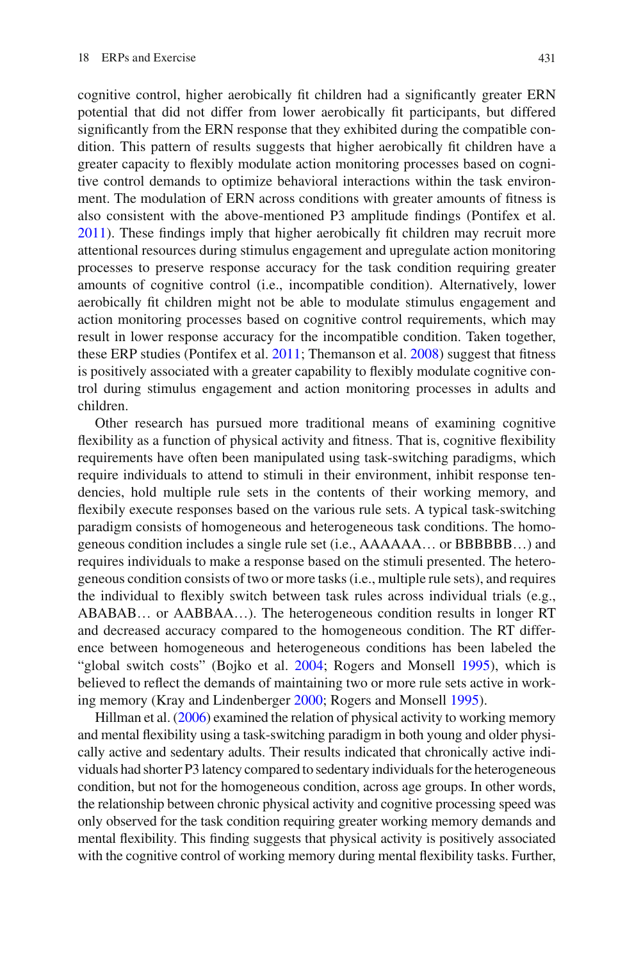cognitive control, higher aerobically fit children had a significantly greater ERN potential that did not differ from lower aerobically fit participants, but differed significantly from the ERN response that they exhibited during the compatible condition. This pattern of results suggests that higher aerobically fit children have a greater capacity to flexibly modulate action monitoring processes based on cognitive control demands to optimize behavioral interactions within the task environment. The modulation of ERN across conditions with greater amounts of fitness is also consistent with the above-mentioned P3 amplitude findings (Pontifex et al.  $2011$ ). These findings imply that higher aerobically fit children may recruit more attentional resources during stimulus engagement and upregulate action monitoring processes to preserve response accuracy for the task condition requiring greater amounts of cognitive control (i.e., incompatible condition). Alternatively, lower aerobically fi t children might not be able to modulate stimulus engagement and action monitoring processes based on cognitive control requirements, which may result in lower response accuracy for the incompatible condition. Taken together, these ERP studies (Pontifex et al.  $2011$ ; Themanson et al.  $2008$ ) suggest that fitness is positively associated with a greater capability to flexibly modulate cognitive control during stimulus engagement and action monitoring processes in adults and children.

 Other research has pursued more traditional means of examining cognitive flexibility as a function of physical activity and fitness. That is, cognitive flexibility requirements have often been manipulated using task-switching paradigms, which require individuals to attend to stimuli in their environment, inhibit response tendencies, hold multiple rule sets in the contents of their working memory, and flexibily execute responses based on the various rule sets. A typical task-switching paradigm consists of homogeneous and heterogeneous task conditions. The homogeneous condition includes a single rule set (i.e., AAAAAA… or BBBBBB…) and requires individuals to make a response based on the stimuli presented. The heterogeneous condition consists of two or more tasks (i.e., multiple rule sets), and requires the individual to flexibly switch between task rules across individual trials (e.g., ABABAB… or AABBAA…). The heterogeneous condition results in longer RT and decreased accuracy compared to the homogeneous condition. The RT difference between homogeneous and heterogeneous conditions has been labeled the "global switch costs" (Bojko et al. [2004](#page-22-0); Rogers and Monsell 1995), which is believed to reflect the demands of maintaining two or more rule sets active in work-ing memory (Kray and Lindenberger 2000; Rogers and Monsell [1995](#page-26-0)).

Hillman et al. (2006) examined the relation of physical activity to working memory and mental flexibility using a task-switching paradigm in both young and older physically active and sedentary adults. Their results indicated that chronically active individuals had shorter P3 latency compared to sedentary individuals for the heterogeneous condition, but not for the homogeneous condition, across age groups. In other words, the relationship between chronic physical activity and cognitive processing speed was only observed for the task condition requiring greater working memory demands and mental flexibility. This finding suggests that physical activity is positively associated with the cognitive control of working memory during mental flexibility tasks. Further,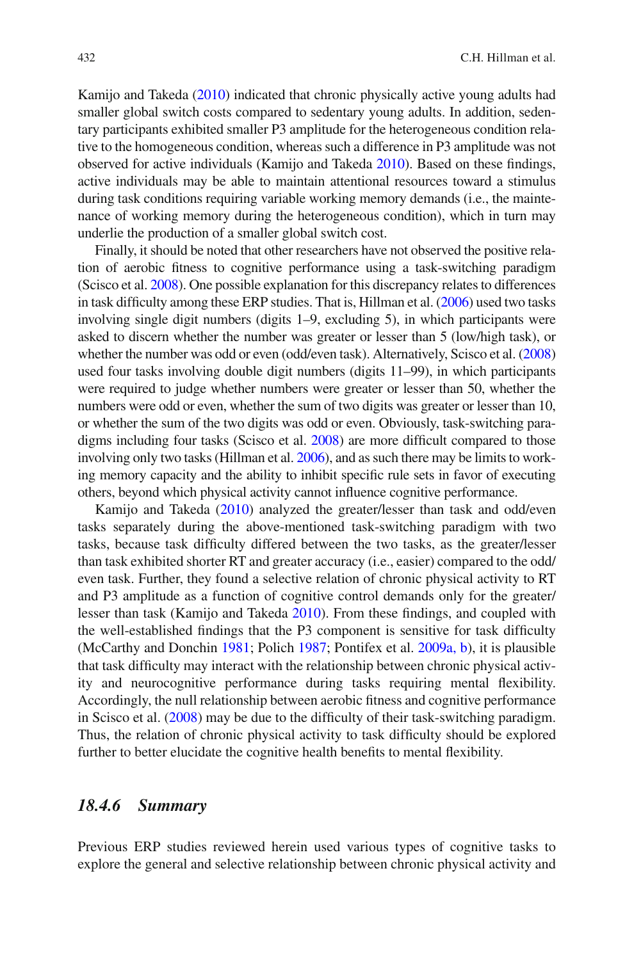Kamijo and Takeda (2010) indicated that chronic physically active young adults had smaller global switch costs compared to sedentary young adults. In addition, sedentary participants exhibited smaller P3 amplitude for the heterogeneous condition relative to the homogeneous condition, whereas such a difference in P3 amplitude was not observed for active individuals (Kamijo and Takeda  $2010$ ). Based on these findings, active individuals may be able to maintain attentional resources toward a stimulus during task conditions requiring variable working memory demands (i.e., the maintenance of working memory during the heterogeneous condition), which in turn may underlie the production of a smaller global switch cost.

 Finally, it should be noted that other researchers have not observed the positive relation of aerobic fitness to cognitive performance using a task-switching paradigm (Scisco et al. 2008). One possible explanation for this discrepancy relates to differences in task difficulty among these ERP studies. That is, Hillman et al.  $(2006)$  used two tasks involving single digit numbers (digits 1–9, excluding 5), in which participants were asked to discern whether the number was greater or lesser than 5 (low/high task), or whether the number was odd or even (odd/even task). Alternatively, Scisco et al. (2008) used four tasks involving double digit numbers (digits 11–99), in which participants were required to judge whether numbers were greater or lesser than 50, whether the numbers were odd or even, whether the sum of two digits was greater or lesser than 10, or whether the sum of the two digits was odd or even. Obviously, task-switching paradigms including four tasks (Scisco et al.  $2008$ ) are more difficult compared to those involving only two tasks (Hillman et al. [2006](#page-24-0)), and as such there may be limits to working memory capacity and the ability to inhibit specific rule sets in favor of executing others, beyond which physical activity cannot influence cognitive performance.

Kamijo and Takeda (2010) analyzed the greater/lesser than task and odd/even tasks separately during the above-mentioned task-switching paradigm with two tasks, because task difficulty differed between the two tasks, as the greater/lesser than task exhibited shorter RT and greater accuracy (i.e., easier) compared to the odd/ even task. Further, they found a selective relation of chronic physical activity to RT and P3 amplitude as a function of cognitive control demands only for the greater/ lesser than task (Kamijo and Takeda 2010). From these findings, and coupled with the well-established findings that the P3 component is sensitive for task difficulty (McCarthy and Donchin  $1981$ ; Polich [1987](#page-26-0); Pontifex et al.  $2009a$ , b), it is plausible that task difficulty may interact with the relationship between chronic physical activity and neurocognitive performance during tasks requiring mental flexibility. Accordingly, the null relationship between aerobic fitness and cognitive performance in Scisco et al.  $(2008)$  may be due to the difficulty of their task-switching paradigm. Thus, the relation of chronic physical activity to task difficulty should be explored further to better elucidate the cognitive health benefits to mental flexibility.

## *18.4.6 Summary*

 Previous ERP studies reviewed herein used various types of cognitive tasks to explore the general and selective relationship between chronic physical activity and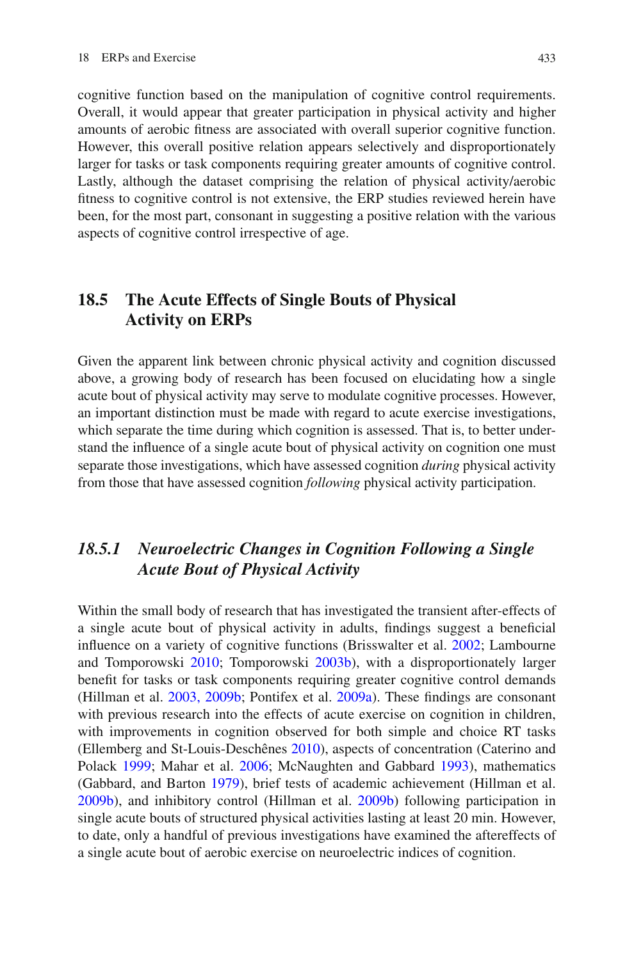cognitive function based on the manipulation of cognitive control requirements. Overall, it would appear that greater participation in physical activity and higher amounts of aerobic fitness are associated with overall superior cognitive function. However, this overall positive relation appears selectively and disproportionately larger for tasks or task components requiring greater amounts of cognitive control. Lastly, although the dataset comprising the relation of physical activity/aerobic fitness to cognitive control is not extensive, the ERP studies reviewed herein have been, for the most part, consonant in suggesting a positive relation with the various aspects of cognitive control irrespective of age.

# **18.5 The Acute Effects of Single Bouts of Physical Activity on ERPs**

 Given the apparent link between chronic physical activity and cognition discussed above, a growing body of research has been focused on elucidating how a single acute bout of physical activity may serve to modulate cognitive processes. However, an important distinction must be made with regard to acute exercise investigations, which separate the time during which cognition is assessed. That is, to better understand the influence of a single acute bout of physical activity on cognition one must separate those investigations, which have assessed cognition *during* physical activity from those that have assessed cognition *following* physical activity participation.

# *18.5.1 Neuroelectric Changes in Cognition Following a Single Acute Bout of Physical Activity*

 Within the small body of research that has investigated the transient after-effects of a single acute bout of physical activity in adults, findings suggest a beneficial in fluence on a variety of cognitive functions (Brisswalter et al. [2002](#page-22-0); Lambourne and Tomporowski [2010](#page-25-0); Tomporowski 2003b), with a disproportionately larger benefit for tasks or task components requiring greater cognitive control demands (Hillman et al. [2003, 2009b](#page-24-0); Pontifex et al. 2009a). These findings are consonant with previous research into the effects of acute exercise on cognition in children, with improvements in cognition observed for both simple and choice RT tasks (Ellemberg and St-Louis-Deschênes 2010), aspects of concentration (Caterino and Polack 1999; Mahar et al. [2006](#page-25-0); McNaughten and Gabbard [1993](#page-25-0)), mathematics (Gabbard, and Barton [1979](#page-24-0)), brief tests of academic achievement (Hillman et al. [2009b](#page-24-0)), and inhibitory control (Hillman et al. 2009b) following participation in single acute bouts of structured physical activities lasting at least 20 min. However, to date, only a handful of previous investigations have examined the aftereffects of a single acute bout of aerobic exercise on neuroelectric indices of cognition.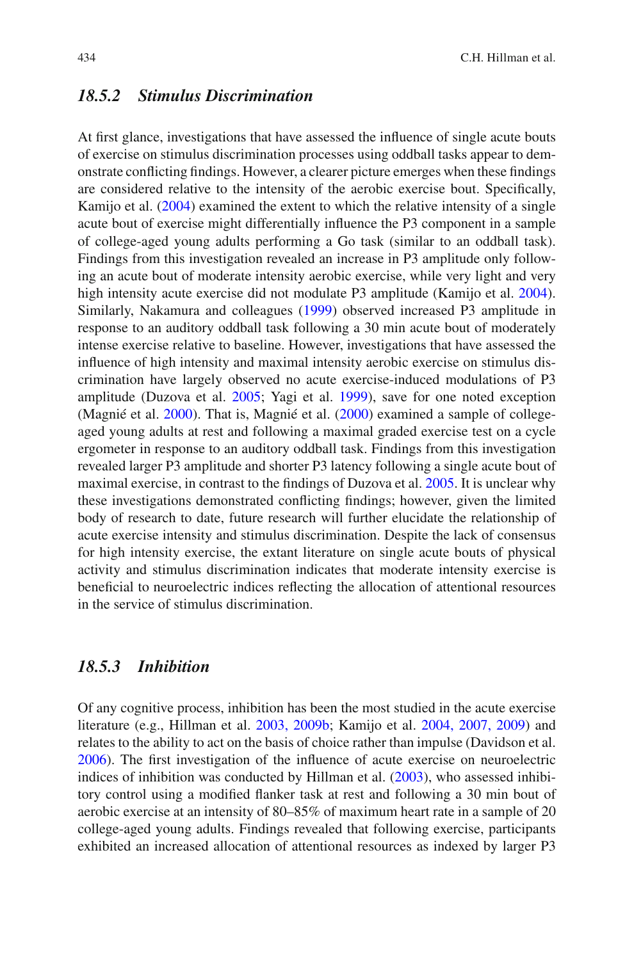## *18.5.2 Stimulus Discrimination*

At first glance, investigations that have assessed the influence of single acute bouts of exercise on stimulus discrimination processes using oddball tasks appear to demonstrate conflicting findings. However, a clearer picture emerges when these findings are considered relative to the intensity of the aerobic exercise bout. Specifically, Kamijo et al. (2004) examined the extent to which the relative intensity of a single acute bout of exercise might differentially influence the P3 component in a sample of college-aged young adults performing a Go task (similar to an oddball task). Findings from this investigation revealed an increase in P3 amplitude only following an acute bout of moderate intensity aerobic exercise, while very light and very high intensity acute exercise did not modulate P3 amplitude (Kamijo et al. 2004). Similarly, Nakamura and colleagues (1999) observed increased P3 amplitude in response to an auditory oddball task following a 30 min acute bout of moderately intense exercise relative to baseline. However, investigations that have assessed the influence of high intensity and maximal intensity aerobic exercise on stimulus discrimination have largely observed no acute exercise-induced modulations of P3 amplitude (Duzova et al. 2005; Yagi et al. [1999](#page-27-0)), save for one noted exception (Magnié et al.  $2000$ ). That is, Magnié et al.  $(2000)$  examined a sample of collegeaged young adults at rest and following a maximal graded exercise test on a cycle ergometer in response to an auditory oddball task. Findings from this investigation revealed larger P3 amplitude and shorter P3 latency following a single acute bout of maximal exercise, in contrast to the findings of Duzova et al.  $2005$ . It is unclear why these investigations demonstrated conflicting findings; however, given the limited body of research to date, future research will further elucidate the relationship of acute exercise intensity and stimulus discrimination. Despite the lack of consensus for high intensity exercise, the extant literature on single acute bouts of physical activity and stimulus discrimination indicates that moderate intensity exercise is bene ficial to neuroelectric indices reflecting the allocation of attentional resources in the service of stimulus discrimination.

## *18.5.3 Inhibition*

 Of any cognitive process, inhibition has been the most studied in the acute exercise literature (e.g., Hillman et al. [2003, 2009b](#page-24-0); Kamijo et al. [2004, 2007, 2009](#page-24-0)) and relates to the ability to act on the basis of choice rather than impulse (Davidson et al. 2006). The first investigation of the influence of acute exercise on neuroelectric indices of inhibition was conducted by Hillman et al.  $(2003)$ , who assessed inhibitory control using a modified flanker task at rest and following a 30 min bout of aerobic exercise at an intensity of 80–85% of maximum heart rate in a sample of 20 college-aged young adults. Findings revealed that following exercise, participants exhibited an increased allocation of attentional resources as indexed by larger P3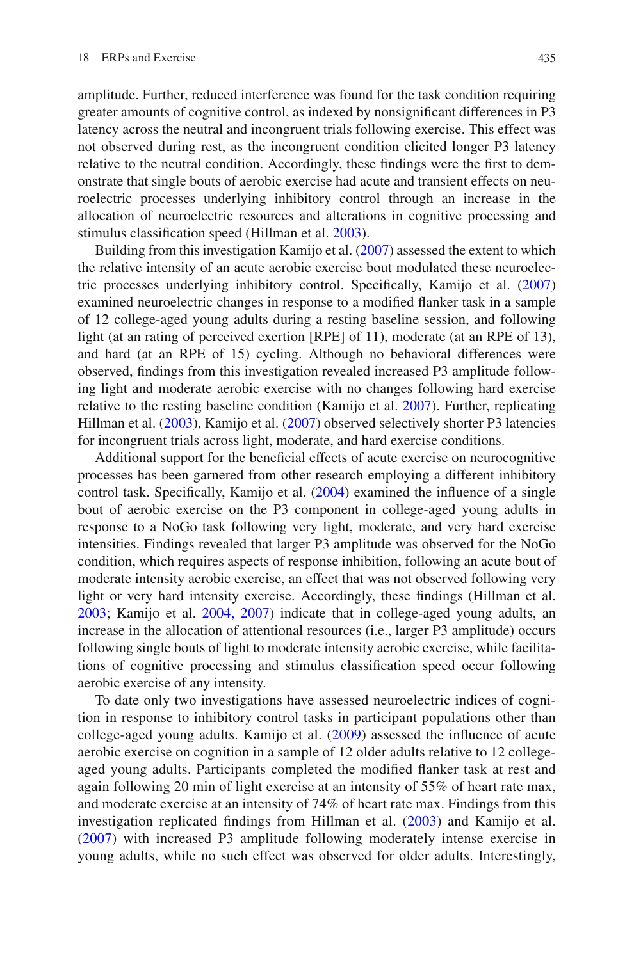amplitude. Further, reduced interference was found for the task condition requiring greater amounts of cognitive control, as indexed by nonsignificant differences in P3 latency across the neutral and incongruent trials following exercise. This effect was not observed during rest, as the incongruent condition elicited longer P3 latency relative to the neutral condition. Accordingly, these findings were the first to demonstrate that single bouts of aerobic exercise had acute and transient effects on neuroelectric processes underlying inhibitory control through an increase in the allocation of neuroelectric resources and alterations in cognitive processing and stimulus classification speed (Hillman et al. 2003).

Building from this investigation Kamijo et al. (2007) assessed the extent to which the relative intensity of an acute aerobic exercise bout modulated these neuroelectric processes underlying inhibitory control. Specifically, Kamijo et al. (2007) examined neuroelectric changes in response to a modified flanker task in a sample of 12 college-aged young adults during a resting baseline session, and following light (at an rating of perceived exertion [RPE] of 11), moderate (at an RPE of 13), and hard (at an RPE of 15) cycling. Although no behavioral differences were observed, findings from this investigation revealed increased P3 amplitude following light and moderate aerobic exercise with no changes following hard exercise relative to the resting baseline condition (Kamijo et al. [2007](#page-24-0)). Further, replicating Hillman et al. (2003), Kamijo et al. (2007) observed selectively shorter P3 latencies for incongruent trials across light, moderate, and hard exercise conditions.

Additional support for the beneficial effects of acute exercise on neurocognitive processes has been garnered from other research employing a different inhibitory control task. Specifically, Kamijo et al.  $(2004)$  examined the influence of a single bout of aerobic exercise on the P3 component in college-aged young adults in response to a NoGo task following very light, moderate, and very hard exercise intensities. Findings revealed that larger P3 amplitude was observed for the NoGo condition, which requires aspects of response inhibition, following an acute bout of moderate intensity aerobic exercise, an effect that was not observed following very light or very hard intensity exercise. Accordingly, these findings (Hillman et al. 2003; Kamijo et al. 2004, 2007) indicate that in college-aged young adults, an increase in the allocation of attentional resources (i.e., larger P3 amplitude) occurs following single bouts of light to moderate intensity aerobic exercise, while facilitations of cognitive processing and stimulus classification speed occur following aerobic exercise of any intensity.

 To date only two investigations have assessed neuroelectric indices of cognition in response to inhibitory control tasks in participant populations other than college-aged young adults. Kamijo et al. (2009) assessed the influence of acute aerobic exercise on cognition in a sample of 12 older adults relative to 12 collegeaged young adults. Participants completed the modified flanker task at rest and again following 20 min of light exercise at an intensity of 55% of heart rate max, and moderate exercise at an intensity of 74% of heart rate max. Findings from this investigation replicated findings from Hillman et al. (2003) and Kamijo et al. (2007) with increased P3 amplitude following moderately intense exercise in young adults, while no such effect was observed for older adults. Interestingly,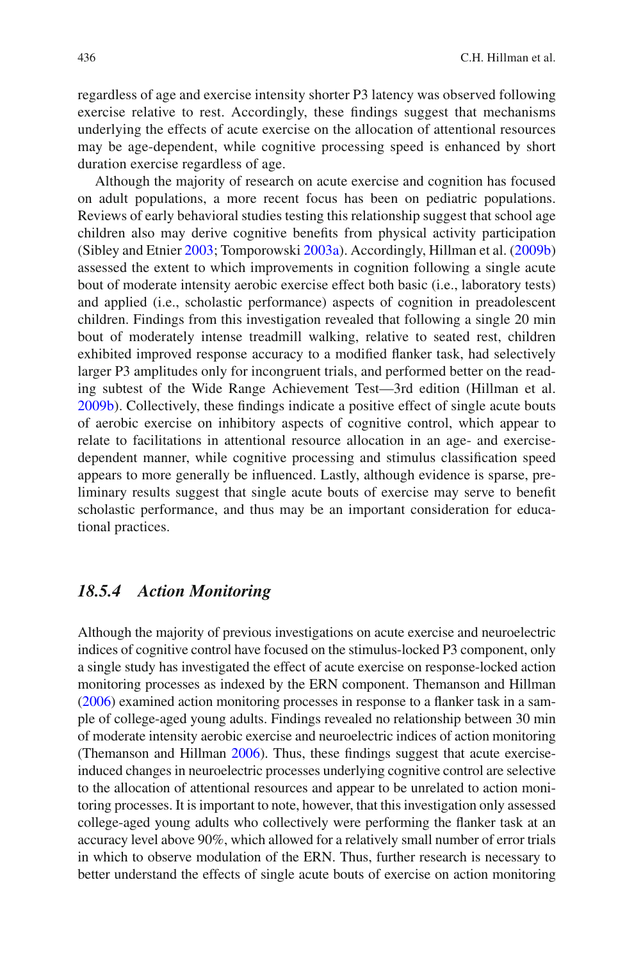regardless of age and exercise intensity shorter P3 latency was observed following exercise relative to rest. Accordingly, these findings suggest that mechanisms underlying the effects of acute exercise on the allocation of attentional resources may be age-dependent, while cognitive processing speed is enhanced by short duration exercise regardless of age.

 Although the majority of research on acute exercise and cognition has focused on adult populations, a more recent focus has been on pediatric populations. Reviews of early behavioral studies testing this relationship suggest that school age children also may derive cognitive benefits from physical activity participation (Sibley and Etnier [2003](#page-26-0) ; Tomporowski [2003a](#page-27-0) ) . Accordingly, Hillman et al. ( [2009b](#page-24-0) ) assessed the extent to which improvements in cognition following a single acute bout of moderate intensity aerobic exercise effect both basic (i.e., laboratory tests) and applied (i.e., scholastic performance) aspects of cognition in preadolescent children. Findings from this investigation revealed that following a single 20 min bout of moderately intense treadmill walking, relative to seated rest, children exhibited improved response accuracy to a modified flanker task, had selectively larger P3 amplitudes only for incongruent trials, and performed better on the reading subtest of the Wide Range Achievement Test—3rd edition (Hillman et al. [2009b](#page-24-0)). Collectively, these findings indicate a positive effect of single acute bouts of aerobic exercise on inhibitory aspects of cognitive control, which appear to relate to facilitations in attentional resource allocation in an age- and exercisedependent manner, while cognitive processing and stimulus classification speed appears to more generally be influenced. Lastly, although evidence is sparse, preliminary results suggest that single acute bouts of exercise may serve to benefit scholastic performance, and thus may be an important consideration for educational practices.

## *18.5.4 Action Monitoring*

 Although the majority of previous investigations on acute exercise and neuroelectric indices of cognitive control have focused on the stimulus-locked P3 component, only a single study has investigated the effect of acute exercise on response-locked action monitoring processes as indexed by the ERN component. Themanson and Hillman  $(2006)$  examined action monitoring processes in response to a flanker task in a sample of college-aged young adults. Findings revealed no relationship between 30 min of moderate intensity aerobic exercise and neuroelectric indices of action monitoring (Themanson and Hillman  $2006$ ). Thus, these findings suggest that acute exerciseinduced changes in neuroelectric processes underlying cognitive control are selective to the allocation of attentional resources and appear to be unrelated to action monitoring processes. It is important to note, however, that this investigation only assessed college-aged young adults who collectively were performing the flanker task at an accuracy level above 90%, which allowed for a relatively small number of error trials in which to observe modulation of the ERN. Thus, further research is necessary to better understand the effects of single acute bouts of exercise on action monitoring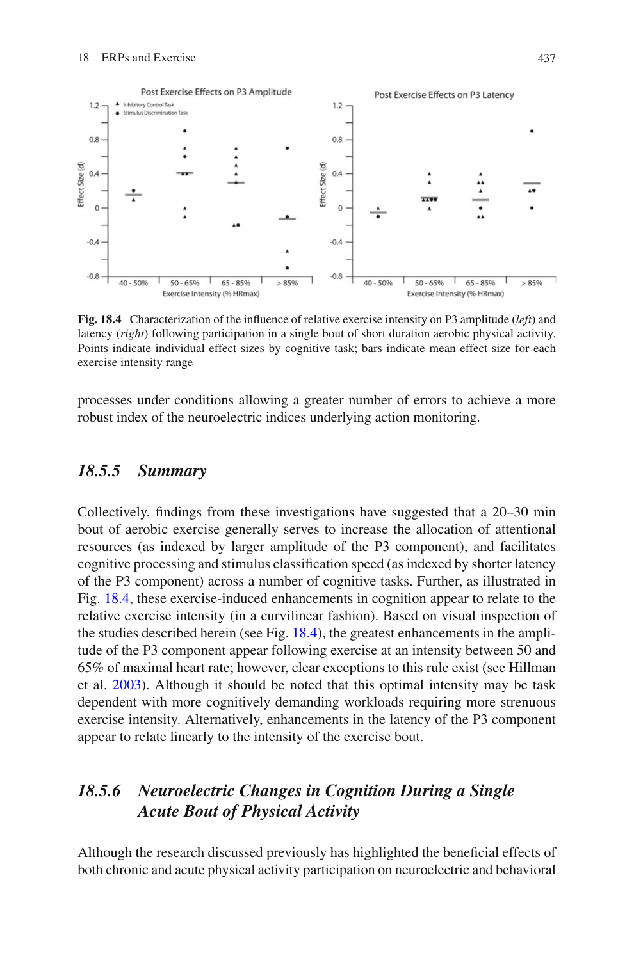

**Fig. 18.4** Characterization of the influence of relative exercise intensity on P3 amplitude (*left*) and latency (*right*) following participation in a single bout of short duration aerobic physical activity. Points indicate individual effect sizes by cognitive task; bars indicate mean effect size for each exercise intensity range

processes under conditions allowing a greater number of errors to achieve a more robust index of the neuroelectric indices underlying action monitoring.

### *18.5.5 Summary*

Collectively, findings from these investigations have suggested that a 20–30 min bout of aerobic exercise generally serves to increase the allocation of attentional resources (as indexed by larger amplitude of the P3 component), and facilitates cognitive processing and stimulus classification speed (as indexed by shorter latency of the P3 component) across a number of cognitive tasks. Further, as illustrated in Fig. 18.4 , these exercise-induced enhancements in cognition appear to relate to the relative exercise intensity (in a curvilinear fashion). Based on visual inspection of the studies described herein (see Fig. 18.4 ), the greatest enhancements in the amplitude of the P3 component appear following exercise at an intensity between 50 and 65% of maximal heart rate; however, clear exceptions to this rule exist (see Hillman et al. [2003 \)](#page-24-0) . Although it should be noted that this optimal intensity may be task dependent with more cognitively demanding workloads requiring more strenuous exercise intensity. Alternatively, enhancements in the latency of the P3 component appear to relate linearly to the intensity of the exercise bout.

# *18.5.6 Neuroelectric Changes in Cognition During a Single Acute Bout of Physical Activity*

Although the research discussed previously has highlighted the beneficial effects of both chronic and acute physical activity participation on neuroelectric and behavioral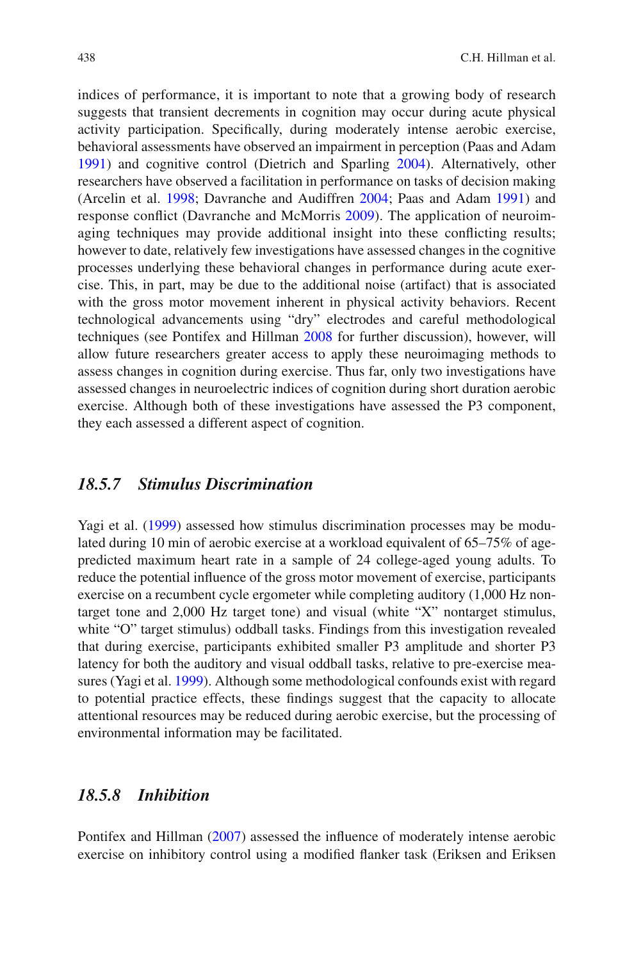indices of performance, it is important to note that a growing body of research suggests that transient decrements in cognition may occur during acute physical activity participation. Specifically, during moderately intense aerobic exercise, behavioral assessments have observed an impairment in perception (Paas and Adam 1991) and cognitive control (Dietrich and Sparling [2004](#page-23-0)). Alternatively, other researchers have observed a facilitation in performance on tasks of decision making (Arcelin et al. [1998](#page-22-0); Davranche and Audiffren [2004](#page-23-0); Paas and Adam [1991](#page-26-0)) and response conflict (Davranche and McMorris 2009). The application of neuroimaging techniques may provide additional insight into these conflicting results; however to date, relatively few investigations have assessed changes in the cognitive processes underlying these behavioral changes in performance during acute exercise. This, in part, may be due to the additional noise (artifact) that is associated with the gross motor movement inherent in physical activity behaviors. Recent technological advancements using "dry" electrodes and careful methodological techniques (see Pontifex and Hillman [2008](#page-26-0) for further discussion), however, will allow future researchers greater access to apply these neuroimaging methods to assess changes in cognition during exercise. Thus far, only two investigations have assessed changes in neuroelectric indices of cognition during short duration aerobic exercise. Although both of these investigations have assessed the P3 component, they each assessed a different aspect of cognition.

### *18.5.7 Stimulus Discrimination*

Yagi et al. (1999) assessed how stimulus discrimination processes may be modulated during 10 min of aerobic exercise at a workload equivalent of 65–75% of agepredicted maximum heart rate in a sample of 24 college-aged young adults. To reduce the potential influence of the gross motor movement of exercise, participants exercise on a recumbent cycle ergometer while completing auditory (1,000 Hz nontarget tone and 2,000 Hz target tone) and visual (white "X" nontarget stimulus, white "O" target stimulus) oddball tasks. Findings from this investigation revealed that during exercise, participants exhibited smaller P3 amplitude and shorter P3 latency for both the auditory and visual oddball tasks, relative to pre-exercise measures (Yagi et al. [1999](#page-27-0) ) . Although some methodological confounds exist with regard to potential practice effects, these findings suggest that the capacity to allocate attentional resources may be reduced during aerobic exercise, but the processing of environmental information may be facilitated.

## *18.5.8 Inhibition*

Pontifex and Hillman  $(2007)$  assessed the influence of moderately intense aerobic exercise on inhibitory control using a modified flanker task (Eriksen and Eriksen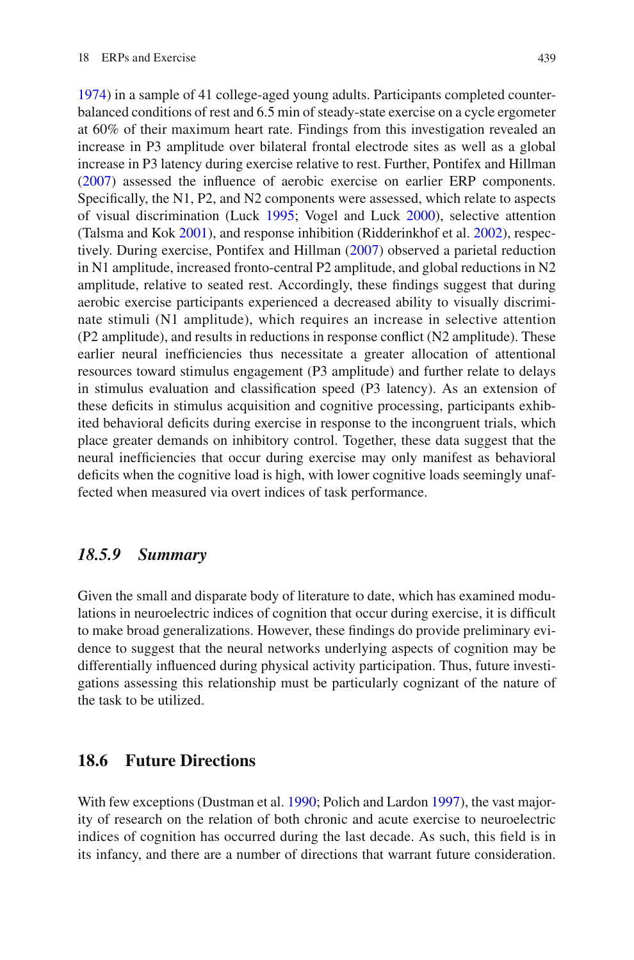[1974 \)](#page-23-0) in a sample of 41 college-aged young adults. Participants completed counterbalanced conditions of rest and 6.5 min of steady-state exercise on a cycle ergometer at 60% of their maximum heart rate. Findings from this investigation revealed an increase in P3 amplitude over bilateral frontal electrode sites as well as a global increase in P3 latency during exercise relative to rest. Further, Pontifex and Hillman  $(2007)$  assessed the influence of aerobic exercise on earlier ERP components. Specifically, the N1, P2, and N2 components were assessed, which relate to aspects of visual discrimination (Luck [1995](#page-25-0); Vogel and Luck 2000), selective attention (Talsma and Kok  $2001$ ), and response inhibition (Ridderinkhof et al.  $2002$ ), respectively. During exercise, Pontifex and Hillman (2007) observed a parietal reduction in N1 amplitude, increased fronto-central P2 amplitude, and global reductions in N2 amplitude, relative to seated rest. Accordingly, these findings suggest that during aerobic exercise participants experienced a decreased ability to visually discriminate stimuli (N1 amplitude), which requires an increase in selective attention  $(P2$  amplitude), and results in reductions in response conflict  $(N2$  amplitude). These earlier neural inefficiencies thus necessitate a greater allocation of attentional resources toward stimulus engagement (P3 amplitude) and further relate to delays in stimulus evaluation and classification speed  $(P3$  latency). As an extension of these deficits in stimulus acquisition and cognitive processing, participants exhibited behavioral deficits during exercise in response to the incongruent trials, which place greater demands on inhibitory control. Together, these data suggest that the neural inefficiencies that occur during exercise may only manifest as behavioral deficits when the cognitive load is high, with lower cognitive loads seemingly unaffected when measured via overt indices of task performance.

## *18.5.9 Summary*

 Given the small and disparate body of literature to date, which has examined modulations in neuroelectric indices of cognition that occur during exercise, it is difficult to make broad generalizations. However, these findings do provide preliminary evidence to suggest that the neural networks underlying aspects of cognition may be differentially influenced during physical activity participation. Thus, future investigations assessing this relationship must be particularly cognizant of the nature of the task to be utilized.

## **18.6 Future Directions**

With few exceptions (Dustman et al. [1990](#page-23-0); Polich and Lardon [1997](#page-26-0)), the vast majority of research on the relation of both chronic and acute exercise to neuroelectric indices of cognition has occurred during the last decade. As such, this field is in its infancy, and there are a number of directions that warrant future consideration.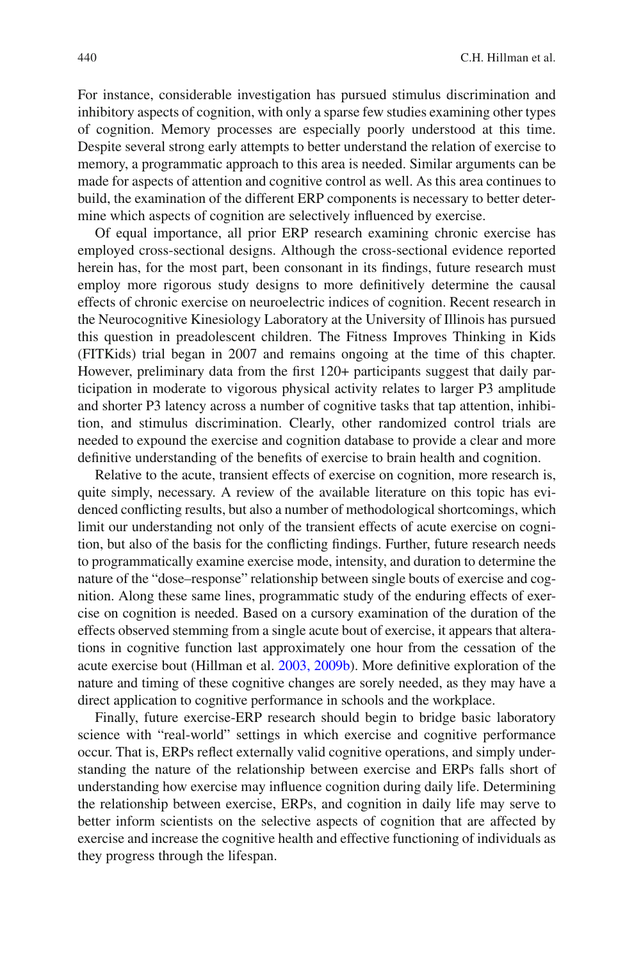For instance, considerable investigation has pursued stimulus discrimination and inhibitory aspects of cognition, with only a sparse few studies examining other types of cognition. Memory processes are especially poorly understood at this time. Despite several strong early attempts to better understand the relation of exercise to memory, a programmatic approach to this area is needed. Similar arguments can be made for aspects of attention and cognitive control as well. As this area continues to build, the examination of the different ERP components is necessary to better determine which aspects of cognition are selectively influenced by exercise.

 Of equal importance, all prior ERP research examining chronic exercise has employed cross-sectional designs. Although the cross-sectional evidence reported herein has, for the most part, been consonant in its findings, future research must employ more rigorous study designs to more definitively determine the causal effects of chronic exercise on neuroelectric indices of cognition. Recent research in the Neurocognitive Kinesiology Laboratory at the University of Illinois has pursued this question in preadolescent children. The Fitness Improves Thinking in Kids (FITKids) trial began in 2007 and remains ongoing at the time of this chapter. However, preliminary data from the first 120+ participants suggest that daily participation in moderate to vigorous physical activity relates to larger P3 amplitude and shorter P3 latency across a number of cognitive tasks that tap attention, inhibition, and stimulus discrimination. Clearly, other randomized control trials are needed to expound the exercise and cognition database to provide a clear and more definitive understanding of the benefits of exercise to brain health and cognition.

 Relative to the acute, transient effects of exercise on cognition, more research is, quite simply, necessary. A review of the available literature on this topic has evidenced conflicting results, but also a number of methodological shortcomings, which limit our understanding not only of the transient effects of acute exercise on cognition, but also of the basis for the conflicting findings. Further, future research needs to programmatically examine exercise mode, intensity, and duration to determine the nature of the "dose–response" relationship between single bouts of exercise and cognition. Along these same lines, programmatic study of the enduring effects of exercise on cognition is needed. Based on a cursory examination of the duration of the effects observed stemming from a single acute bout of exercise, it appears that alterations in cognitive function last approximately one hour from the cessation of the acute exercise bout (Hillman et al. 2003, 2009b). More definitive exploration of the nature and timing of these cognitive changes are sorely needed, as they may have a direct application to cognitive performance in schools and the workplace.

 Finally, future exercise-ERP research should begin to bridge basic laboratory science with "real-world" settings in which exercise and cognitive performance occur. That is, ERPs reflect externally valid cognitive operations, and simply understanding the nature of the relationship between exercise and ERPs falls short of understanding how exercise may influence cognition during daily life. Determining the relationship between exercise, ERPs, and cognition in daily life may serve to better inform scientists on the selective aspects of cognition that are affected by exercise and increase the cognitive health and effective functioning of individuals as they progress through the lifespan.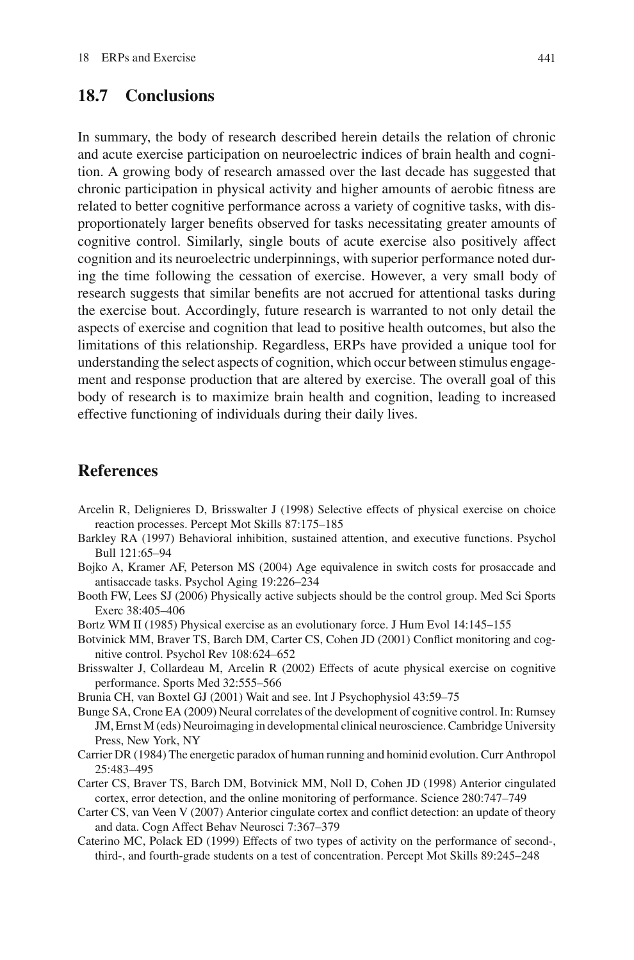## <span id="page-22-0"></span> **18.7 Conclusions**

 In summary, the body of research described herein details the relation of chronic and acute exercise participation on neuroelectric indices of brain health and cognition. A growing body of research amassed over the last decade has suggested that chronic participation in physical activity and higher amounts of aerobic fitness are related to better cognitive performance across a variety of cognitive tasks, with disproportionately larger benefits observed for tasks necessitating greater amounts of cognitive control. Similarly, single bouts of acute exercise also positively affect cognition and its neuroelectric underpinnings, with superior performance noted during the time following the cessation of exercise. However, a very small body of research suggests that similar benefits are not accrued for attentional tasks during the exercise bout. Accordingly, future research is warranted to not only detail the aspects of exercise and cognition that lead to positive health outcomes, but also the limitations of this relationship. Regardless, ERPs have provided a unique tool for understanding the select aspects of cognition, which occur between stimulus engagement and response production that are altered by exercise. The overall goal of this body of research is to maximize brain health and cognition, leading to increased effective functioning of individuals during their daily lives.

#### **References**

- Arcelin R, Delignieres D, Brisswalter J (1998) Selective effects of physical exercise on choice reaction processes. Percept Mot Skills 87:175–185
- Barkley RA (1997) Behavioral inhibition, sustained attention, and executive functions. Psychol Bull 121:65–94
- Bojko A, Kramer AF, Peterson MS (2004) Age equivalence in switch costs for prosaccade and antisaccade tasks. Psychol Aging 19:226–234
- Booth FW, Lees SJ (2006) Physically active subjects should be the control group. Med Sci Sports Exerc 38:405–406
- Bortz WM II (1985) Physical exercise as an evolutionary force. J Hum Evol 14:145–155
- Botvinick MM, Braver TS, Barch DM, Carter CS, Cohen JD (2001) Conflict monitoring and cognitive control. Psychol Rev 108:624–652
- Brisswalter J, Collardeau M, Arcelin R (2002) Effects of acute physical exercise on cognitive performance. Sports Med 32:555–566
- Brunia CH, van Boxtel GJ (2001) Wait and see. Int J Psychophysiol 43:59–75
- Bunge SA, Crone EA (2009) Neural correlates of the development of cognitive control. In: Rumsey JM, Ernst M (eds) Neuroimaging in developmental clinical neuroscience. Cambridge University Press, New York, NY
- Carrier DR (1984) The energetic paradox of human running and hominid evolution. Curr Anthropol 25:483–495
- Carter CS, Braver TS, Barch DM, Botvinick MM, Noll D, Cohen JD (1998) Anterior cingulated cortex, error detection, and the online monitoring of performance. Science 280:747–749
- Carter CS, van Veen V (2007) Anterior cingulate cortex and conflict detection: an update of theory and data. Cogn Affect Behav Neurosci 7:367–379
- Caterino MC, Polack ED (1999) Effects of two types of activity on the performance of second-, third-, and fourth-grade students on a test of concentration. Percept Mot Skills 89:245–248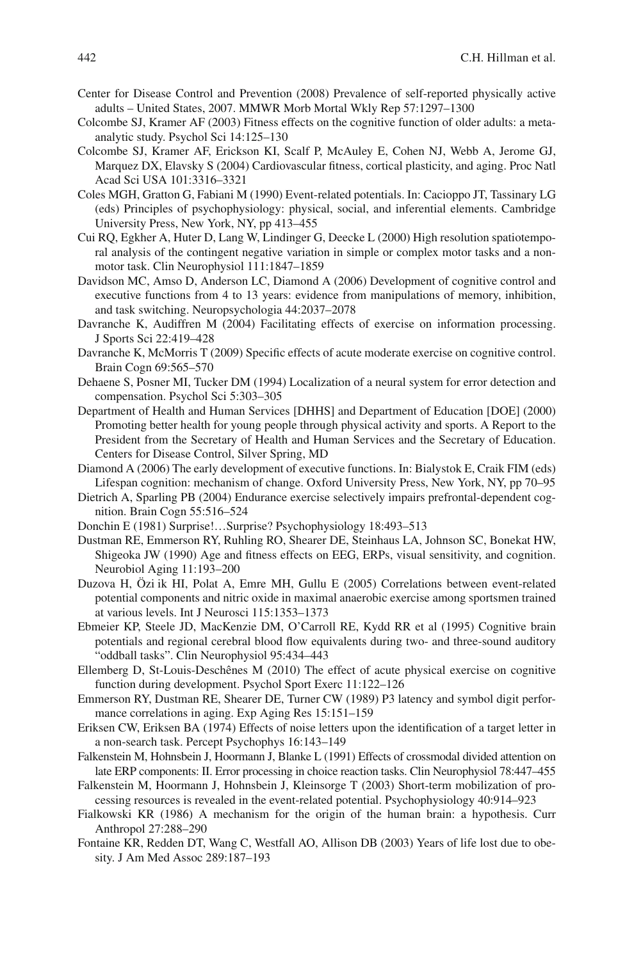- <span id="page-23-0"></span> Center for Disease Control and Prevention (2008) Prevalence of self-reported physically active adults – United States, 2007. MMWR Morb Mortal Wkly Rep 57:1297–1300
- Colcombe SJ, Kramer AF (2003) Fitness effects on the cognitive function of older adults: a metaanalytic study. Psychol Sci 14:125–130
- Colcombe SJ, Kramer AF, Erickson KI, Scalf P, McAuley E, Cohen NJ, Webb A, Jerome GJ, Marquez DX, Elavsky S (2004) Cardiovascular fitness, cortical plasticity, and aging. Proc Natl Acad Sci USA 101:3316–3321
- Coles MGH, Gratton G, Fabiani M (1990) Event-related potentials. In: Cacioppo JT, Tassinary LG (eds) Principles of psychophysiology: physical, social, and inferential elements. Cambridge University Press, New York, NY, pp 413–455
- Cui RQ, Egkher A, Huter D, Lang W, Lindinger G, Deecke L (2000) High resolution spatiotemporal analysis of the contingent negative variation in simple or complex motor tasks and a nonmotor task. Clin Neurophysiol 111:1847–1859
- Davidson MC, Amso D, Anderson LC, Diamond A (2006) Development of cognitive control and executive functions from 4 to 13 years: evidence from manipulations of memory, inhibition, and task switching. Neuropsychologia 44:2037–2078
- Davranche K, Audiffren M (2004) Facilitating effects of exercise on information processing. J Sports Sci 22:419–428
- Davranche K, McMorris T (2009) Specific effects of acute moderate exercise on cognitive control. Brain Cogn 69:565–570
- Dehaene S, Posner MI, Tucker DM (1994) Localization of a neural system for error detection and compensation. Psychol Sci 5:303–305
- Department of Health and Human Services [DHHS] and Department of Education [DOE] (2000) Promoting better health for young people through physical activity and sports. A Report to the President from the Secretary of Health and Human Services and the Secretary of Education. Centers for Disease Control, Silver Spring, MD
- Diamond A (2006) The early development of executive functions. In: Bialystok E, Craik FIM (eds) Lifespan cognition: mechanism of change. Oxford University Press, New York, NY, pp 70–95
- Dietrich A, Sparling PB (2004) Endurance exercise selectively impairs prefrontal-dependent cognition. Brain Cogn 55:516–524
- Donchin E (1981) Surprise!…Surprise? Psychophysiology 18:493–513
- Dustman RE, Emmerson RY, Ruhling RO, Shearer DE, Steinhaus LA, Johnson SC, Bonekat HW, Shigeoka JW (1990) Age and fitness effects on EEG, ERPs, visual sensitivity, and cognition. Neurobiol Aging 11:193–200
- Duzova H, Özi ik HI, Polat A, Emre MH, Gullu E (2005) Correlations between event-related potential components and nitric oxide in maximal anaerobic exercise among sportsmen trained at various levels. Int J Neurosci 115:1353–1373
- Ebmeier KP, Steele JD, MacKenzie DM, O'Carroll RE, Kydd RR et al (1995) Cognitive brain potentials and regional cerebral blood flow equivalents during two- and three-sound auditory "oddball tasks". Clin Neurophysiol 95:434–443
- Ellemberg D, St-Louis-Deschênes M (2010) The effect of acute physical exercise on cognitive function during development. Psychol Sport Exerc 11:122–126
- Emmerson RY, Dustman RE, Shearer DE, Turner CW (1989) P3 latency and symbol digit performance correlations in aging. Exp Aging Res 15:151–159
- Eriksen CW, Eriksen BA (1974) Effects of noise letters upon the identification of a target letter in a non-search task. Percept Psychophys 16:143–149
- Falkenstein M, Hohnsbein J, Hoormann J, Blanke L (1991) Effects of crossmodal divided attention on late ERP components: II. Error processing in choice reaction tasks. Clin Neurophysiol 78:447–455
- Falkenstein M, Hoormann J, Hohnsbein J, Kleinsorge T (2003) Short-term mobilization of processing resources is revealed in the event-related potential. Psychophysiology 40:914–923
- Fialkowski KR (1986) A mechanism for the origin of the human brain: a hypothesis. Curr Anthropol 27:288–290
- Fontaine KR, Redden DT, Wang C, Westfall AO, Allison DB (2003) Years of life lost due to obesity. J Am Med Assoc 289:187–193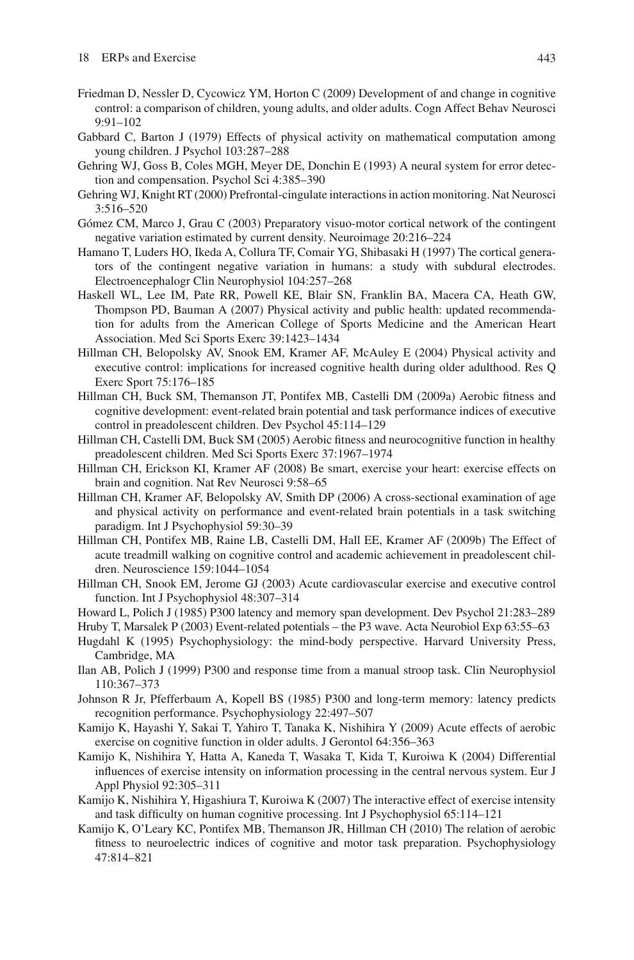- <span id="page-24-0"></span> Friedman D, Nessler D, Cycowicz YM, Horton C (2009) Development of and change in cognitive control: a comparison of children, young adults, and older adults. Cogn Affect Behav Neurosci 9:91–102
- Gabbard C, Barton J (1979) Effects of physical activity on mathematical computation among young children. J Psychol 103:287–288
- Gehring WJ, Goss B, Coles MGH, Meyer DE, Donchin E (1993) A neural system for error detection and compensation. Psychol Sci 4:385–390
- Gehring WJ, Knight RT (2000) Prefrontal-cingulate interactions in action monitoring. Nat Neurosci 3:516–520
- Gómez CM, Marco J, Grau C (2003) Preparatory visuo-motor cortical network of the contingent negative variation estimated by current density. Neuroimage 20:216–224
- Hamano T, Luders HO, Ikeda A, Collura TF, Comair YG, Shibasaki H (1997) The cortical generators of the contingent negative variation in humans: a study with subdural electrodes. Electroencephalogr Clin Neurophysiol 104:257–268
- Haskell WL, Lee IM, Pate RR, Powell KE, Blair SN, Franklin BA, Macera CA, Heath GW, Thompson PD, Bauman A (2007) Physical activity and public health: updated recommendation for adults from the American College of Sports Medicine and the American Heart Association. Med Sci Sports Exerc 39:1423–1434
- Hillman CH, Belopolsky AV, Snook EM, Kramer AF, McAuley E (2004) Physical activity and executive control: implications for increased cognitive health during older adulthood. Res Q Exerc Sport 75:176–185
- Hillman CH, Buck SM, Themanson JT, Pontifex MB, Castelli DM (2009a) Aerobic fitness and cognitive development: event-related brain potential and task performance indices of executive control in preadolescent children. Dev Psychol 45:114–129
- Hillman CH, Castelli DM, Buck SM (2005) Aerobic fitness and neurocognitive function in healthy preadolescent children. Med Sci Sports Exerc 37:1967–1974
- Hillman CH, Erickson KI, Kramer AF (2008) Be smart, exercise your heart: exercise effects on brain and cognition. Nat Rev Neurosci 9:58–65
- Hillman CH, Kramer AF, Belopolsky AV, Smith DP (2006) A cross-sectional examination of age and physical activity on performance and event-related brain potentials in a task switching paradigm. Int J Psychophysiol 59:30–39
- Hillman CH, Pontifex MB, Raine LB, Castelli DM, Hall EE, Kramer AF (2009b) The Effect of acute treadmill walking on cognitive control and academic achievement in preadolescent children. Neuroscience 159:1044–1054
- Hillman CH, Snook EM, Jerome GJ (2003) Acute cardiovascular exercise and executive control function. Int J Psychophysiol 48:307–314
- Howard L, Polich J (1985) P300 latency and memory span development. Dev Psychol 21:283–289
- Hruby T, Marsalek P (2003) Event-related potentials the P3 wave. Acta Neurobiol Exp 63:55–63
- Hugdahl K (1995) Psychophysiology: the mind-body perspective. Harvard University Press, Cambridge, MA
- Ilan AB, Polich J (1999) P300 and response time from a manual stroop task. Clin Neurophysiol 110:367–373
- Johnson R Jr, Pfefferbaum A, Kopell BS (1985) P300 and long-term memory: latency predicts recognition performance. Psychophysiology 22:497–507
- Kamijo K, Hayashi Y, Sakai T, Yahiro T, Tanaka K, Nishihira Y (2009) Acute effects of aerobic exercise on cognitive function in older adults. J Gerontol 64:356–363
- Kamijo K, Nishihira Y, Hatta A, Kaneda T, Wasaka T, Kida T, Kuroiwa K (2004) Differential influences of exercise intensity on information processing in the central nervous system. Eur J Appl Physiol 92:305–311
- Kamijo K, Nishihira Y, Higashiura T, Kuroiwa K (2007) The interactive effect of exercise intensity and task difficulty on human cognitive processing. Int J Psychophysiol 65:114-121
- Kamijo K, O'Leary KC, Pontifex MB, Themanson JR, Hillman CH (2010) The relation of aerobic fitness to neuroelectric indices of cognitive and motor task preparation. Psychophysiology 47:814–821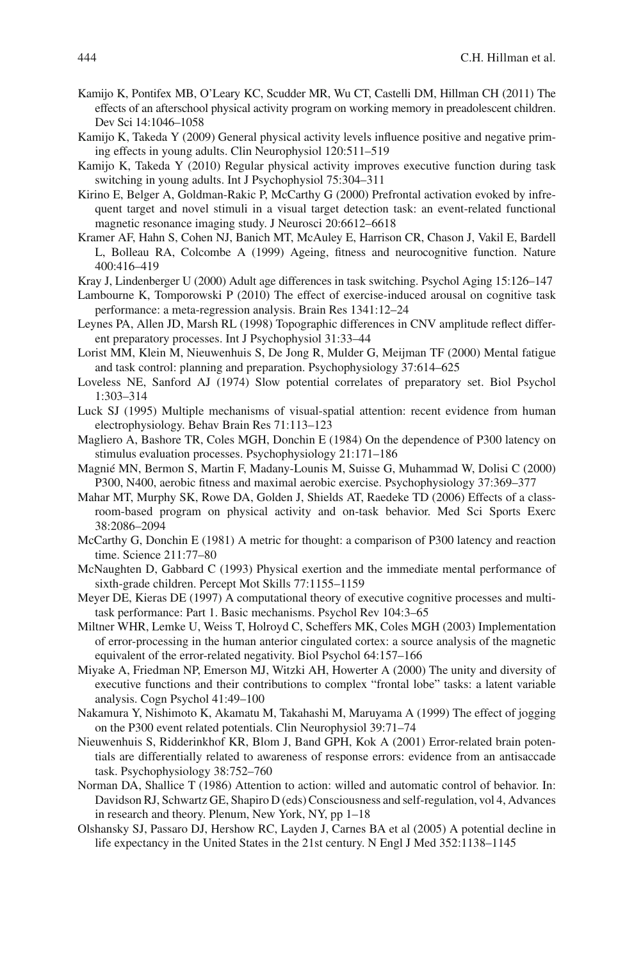- <span id="page-25-0"></span> Kamijo K, Pontifex MB, O'Leary KC, Scudder MR, Wu CT, Castelli DM, Hillman CH (2011) The effects of an afterschool physical activity program on working memory in preadolescent children. Dev Sci 14:1046–1058
- Kamijo K, Takeda Y (2009) General physical activity levels influence positive and negative priming effects in young adults. Clin Neurophysiol 120:511–519
- Kamijo K, Takeda Y (2010) Regular physical activity improves executive function during task switching in young adults. Int J Psychophysiol 75:304–311
- Kirino E, Belger A, Goldman-Rakic P, McCarthy G (2000) Prefrontal activation evoked by infrequent target and novel stimuli in a visual target detection task: an event-related functional magnetic resonance imaging study. J Neurosci 20:6612–6618
- Kramer AF, Hahn S, Cohen NJ, Banich MT, McAuley E, Harrison CR, Chason J, Vakil E, Bardell L, Bolleau RA, Colcombe A (1999) Ageing, fitness and neurocognitive function. Nature 400:416–419
- Kray J, Lindenberger U (2000) Adult age differences in task switching. Psychol Aging 15:126–147
- Lambourne K, Tomporowski P (2010) The effect of exercise-induced arousal on cognitive task performance: a meta-regression analysis. Brain Res 1341:12–24
- Leynes PA, Allen JD, Marsh RL (1998) Topographic differences in CNV amplitude reflect different preparatory processes. Int J Psychophysiol 31:33–44
- Lorist MM, Klein M, Nieuwenhuis S, De Jong R, Mulder G, Meijman TF (2000) Mental fatigue and task control: planning and preparation. Psychophysiology 37:614–625
- Loveless NE, Sanford AJ (1974) Slow potential correlates of preparatory set. Biol Psychol 1:303–314
- Luck SJ (1995) Multiple mechanisms of visual-spatial attention: recent evidence from human electrophysiology. Behav Brain Res 71:113–123
- Magliero A, Bashore TR, Coles MGH, Donchin E (1984) On the dependence of P300 latency on stimulus evaluation processes. Psychophysiology 21:171–186
- Magnié MN, Bermon S, Martin F, Madany-Lounis M, Suisse G, Muhammad W, Dolisi C (2000) P300, N400, aerobic fitness and maximal aerobic exercise. Psychophysiology 37:369–377
- Mahar MT, Murphy SK, Rowe DA, Golden J, Shields AT, Raedeke TD (2006) Effects of a classroom-based program on physical activity and on-task behavior. Med Sci Sports Exerc 38:2086–2094
- McCarthy G, Donchin E (1981) A metric for thought: a comparison of P300 latency and reaction time. Science 211:77–80
- McNaughten D, Gabbard C (1993) Physical exertion and the immediate mental performance of sixth-grade children. Percept Mot Skills 77:1155–1159
- Meyer DE, Kieras DE (1997) A computational theory of executive cognitive processes and multitask performance: Part 1. Basic mechanisms. Psychol Rev 104:3–65
- Miltner WHR, Lemke U, Weiss T, Holroyd C, Scheffers MK, Coles MGH (2003) Implementation of error-processing in the human anterior cingulated cortex: a source analysis of the magnetic equivalent of the error-related negativity. Biol Psychol 64:157–166
- Miyake A, Friedman NP, Emerson MJ, Witzki AH, Howerter A (2000) The unity and diversity of executive functions and their contributions to complex "frontal lobe" tasks: a latent variable analysis. Cogn Psychol 41:49–100
- Nakamura Y, Nishimoto K, Akamatu M, Takahashi M, Maruyama A (1999) The effect of jogging on the P300 event related potentials. Clin Neurophysiol 39:71–74
- Nieuwenhuis S, Ridderinkhof KR, Blom J, Band GPH, Kok A (2001) Error-related brain potentials are differentially related to awareness of response errors: evidence from an antisaccade task. Psychophysiology 38:752–760
- Norman DA, Shallice T (1986) Attention to action: willed and automatic control of behavior. In: Davidson RJ, Schwartz GE, Shapiro D (eds) Consciousness and self-regulation, vol 4, Advances in research and theory. Plenum, New York, NY, pp 1–18
- Olshansky SJ, Passaro DJ, Hershow RC, Layden J, Carnes BA et al (2005) A potential decline in life expectancy in the United States in the 21st century. N Engl J Med 352:1138–1145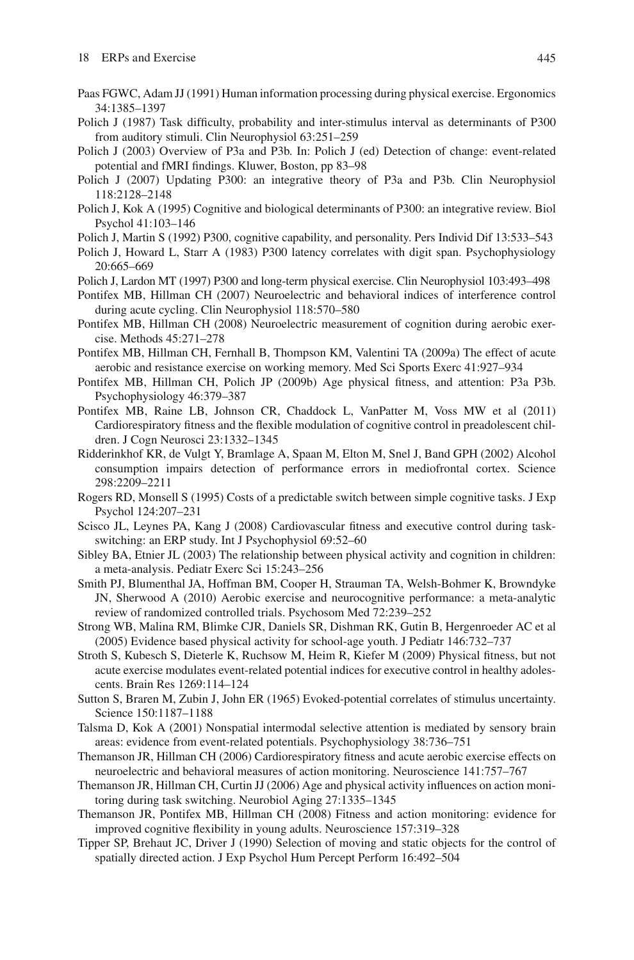- <span id="page-26-0"></span> Paas FGWC, Adam JJ (1991) Human information processing during physical exercise. Ergonomics 34:1385–1397
- Polich J (1987) Task difficulty, probability and inter-stimulus interval as determinants of P300 from auditory stimuli. Clin Neurophysiol 63:251–259
- Polich J (2003) Overview of P3a and P3b. In: Polich J (ed) Detection of change: event-related potential and fMRI findings. Kluwer, Boston, pp 83–98
- Polich J (2007) Updating P300: an integrative theory of P3a and P3b. Clin Neurophysiol 118:2128–2148
- Polich J, Kok A (1995) Cognitive and biological determinants of P300: an integrative review. Biol Psychol 41:103–146
- Polich J, Martin S (1992) P300, cognitive capability, and personality. Pers Individ Dif 13:533–543
- Polich J, Howard L, Starr A (1983) P300 latency correlates with digit span. Psychophysiology 20:665–669
- Polich J, Lardon MT (1997) P300 and long-term physical exercise. Clin Neurophysiol 103:493–498
- Pontifex MB, Hillman CH (2007) Neuroelectric and behavioral indices of interference control during acute cycling. Clin Neurophysiol 118:570–580
- Pontifex MB, Hillman CH (2008) Neuroelectric measurement of cognition during aerobic exercise. Methods 45:271–278
- Pontifex MB, Hillman CH, Fernhall B, Thompson KM, Valentini TA (2009a) The effect of acute aerobic and resistance exercise on working memory. Med Sci Sports Exerc 41:927–934
- Pontifex MB, Hillman CH, Polich JP (2009b) Age physical fitness, and attention: P3a P3b. Psychophysiology 46:379–387
- Pontifex MB, Raine LB, Johnson CR, Chaddock L, VanPatter M, Voss MW et al (2011) Cardiorespiratory fitness and the flexible modulation of cognitive control in preadolescent children. J Cogn Neurosci 23:1332–1345
- Ridderinkhof KR, de Vulgt Y, Bramlage A, Spaan M, Elton M, Snel J, Band GPH (2002) Alcohol consumption impairs detection of performance errors in mediofrontal cortex. Science 298:2209–2211
- Rogers RD, Monsell S (1995) Costs of a predictable switch between simple cognitive tasks. J Exp Psychol 124:207–231
- Scisco JL, Leynes PA, Kang J (2008) Cardiovascular fitness and executive control during taskswitching: an ERP study. Int J Psychophysiol 69:52–60
- Sibley BA, Etnier JL (2003) The relationship between physical activity and cognition in children: a meta-analysis. Pediatr Exerc Sci 15:243–256
- Smith PJ, Blumenthal JA, Hoffman BM, Cooper H, Strauman TA, Welsh-Bohmer K, Browndyke JN, Sherwood A (2010) Aerobic exercise and neurocognitive performance: a meta-analytic review of randomized controlled trials. Psychosom Med 72:239–252
- Strong WB, Malina RM, Blimke CJR, Daniels SR, Dishman RK, Gutin B, Hergenroeder AC et al (2005) Evidence based physical activity for school-age youth. J Pediatr 146:732–737
- Stroth S, Kubesch S, Dieterle K, Ruchsow M, Heim R, Kiefer M (2009) Physical fitness, but not acute exercise modulates event-related potential indices for executive control in healthy adolescents. Brain Res 1269:114–124
- Sutton S, Braren M, Zubin J, John ER (1965) Evoked-potential correlates of stimulus uncertainty. Science 150:1187–1188
- Talsma D, Kok A (2001) Nonspatial intermodal selective attention is mediated by sensory brain areas: evidence from event-related potentials. Psychophysiology 38:736–751
- Themanson JR, Hillman CH (2006) Cardiorespiratory fitness and acute aerobic exercise effects on neuroelectric and behavioral measures of action monitoring. Neuroscience 141:757–767
- Themanson JR, Hillman CH, Curtin JJ (2006) Age and physical activity influences on action monitoring during task switching. Neurobiol Aging 27:1335–1345
- Themanson JR, Pontifex MB, Hillman CH (2008) Fitness and action monitoring: evidence for improved cognitive flexibility in young adults. Neuroscience 157:319–328
- Tipper SP, Brehaut JC, Driver J (1990) Selection of moving and static objects for the control of spatially directed action. J Exp Psychol Hum Percept Perform 16:492–504